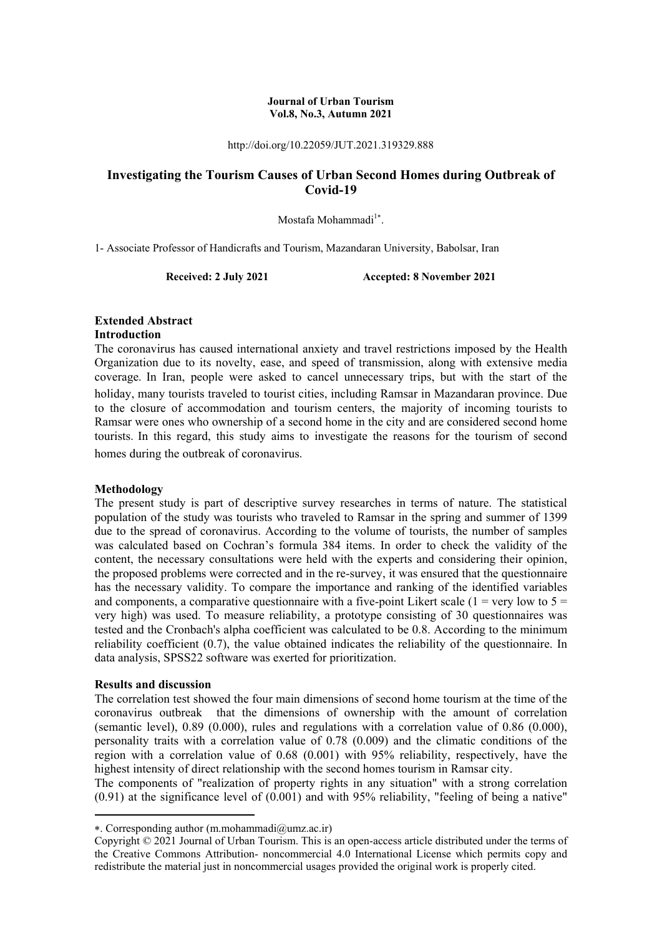#### **Journal of Urban Tourism Vol.8, No.3, Autumn 2021**

http://doi.org/10.22059/JUT.2021.319329.888

# **Investigating the Tourism Causes of Urban Second Homes during Outbreak of Covid-19**

Mostafa Mohammadi<sup>1\*</sup>.

1- Associate Professor of Handicrafts and Tourism, Mazandaran University, Babolsar, Iran

**Received: 2 July 2021 Accepted: 8 November 2021** 

# **Extended Abstract**

# **Introduction**

The coronavirus has caused international anxiety and travel restrictions imposed by the Health Organization due to its novelty, ease, and speed of transmission, along with extensive media coverage. In Iran, people were asked to cancel unnecessary trips, but with the start of the holiday, many tourists traveled to tourist cities, including Ramsar in Mazandaran province. Due to the closure of accommodation and tourism centers, the majority of incoming tourists to Ramsar were ones who ownership of a second home in the city and are considered second home tourists. In this regard, this study aims to investigate the reasons for the tourism of second homes during the outbreak of coronavirus.

## **Methodology**

The present study is part of descriptive survey researches in terms of nature. The statistical population of the study was tourists who traveled to Ramsar in the spring and summer of 1399 due to the spread of coronavirus. According to the volume of tourists, the number of samples was calculated based on Cochran's formula 384 items. In order to check the validity of the content, the necessary consultations were held with the experts and considering their opinion, the proposed problems were corrected and in the re-survey, it was ensured that the questionnaire has the necessary validity. To compare the importance and ranking of the identified variables and components, a comparative questionnaire with a five-point Likert scale ( $1 = \text{very low to } 5 =$ very high) was used. To measure reliability, a prototype consisting of 30 questionnaires was tested and the Cronbach's alpha coefficient was calculated to be 0.8. According to the minimum reliability coefficient (0.7), the value obtained indicates the reliability of the questionnaire. In data analysis, SPSS22 software was exerted for prioritization.

## **Results and discussion**

**.** 

The correlation test showed the four main dimensions of second home tourism at the time of the coronavirus outbreak that the dimensions of ownership with the amount of correlation (semantic level), 0.89 (0.000), rules and regulations with a correlation value of 0.86 (0.000), personality traits with a correlation value of 0.78 (0.009) and the climatic conditions of the region with a correlation value of 0.68 (0.001) with 95% reliability, respectively, have the highest intensity of direct relationship with the second homes tourism in Ramsar city.

The components of "realization of property rights in any situation" with a strong correlation  $(0.91)$  at the significance level of  $(0.001)$  and with 95% reliability, "feeling of being a native"

<sup>.</sup> Corresponding author (m.mohammadi@umz.ac.ir)

Copyright © 2021 Journal of Urban Tourism. This is an open-access article distributed under the terms of the Creative Commons Attribution- noncommercial 4.0 International License which permits copy and redistribute the material just in noncommercial usages provided the original work is properly cited.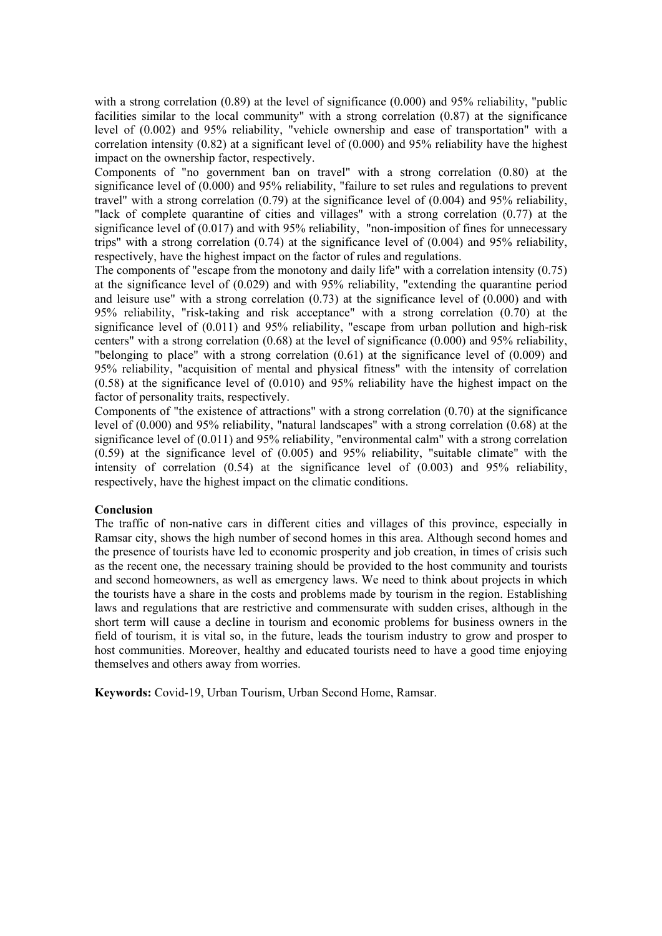with a strong correlation (0.89) at the level of significance (0.000) and 95% reliability, "public facilities similar to the local community" with a strong correlation (0.87) at the significance level of (0.002) and 95% reliability, "vehicle ownership and ease of transportation" with a correlation intensity  $(0.82)$  at a significant level of  $(0.000)$  and 95% reliability have the highest impact on the ownership factor, respectively.

Components of "no government ban on travel" with a strong correlation (0.80) at the significance level of (0.000) and 95% reliability, "failure to set rules and regulations to prevent travel" with a strong correlation (0.79) at the significance level of (0.004) and 95% reliability, "lack of complete quarantine of cities and villages" with a strong correlation (0.77) at the significance level of (0.017) and with 95% reliability, "non-imposition of fines for unnecessary trips" with a strong correlation  $(0.74)$  at the significance level of  $(0.004)$  and 95% reliability, respectively, have the highest impact on the factor of rules and regulations.

The components of "escape from the monotony and daily life" with a correlation intensity (0.75) at the significance level of (0.029) and with 95% reliability, "extending the quarantine period and leisure use" with a strong correlation  $(0.73)$  at the significance level of  $(0.000)$  and with 95% reliability, "risk-taking and risk acceptance" with a strong correlation (0.70) at the significance level of  $(0.011)$  and 95% reliability, "escape from urban pollution and high-risk centers" with a strong correlation (0.68) at the level of significance (0.000) and 95% reliability, "belonging to place" with a strong correlation (0.61) at the significance level of (0.009) and 95% reliability, "acquisition of mental and physical fitness" with the intensity of correlation (0.58) at the significance level of (0.010) and 95% reliability have the highest impact on the factor of personality traits, respectively.

Components of "the existence of attractions" with a strong correlation (0.70) at the significance level of (0.000) and 95% reliability, "natural landscapes" with a strong correlation (0.68) at the significance level of (0.011) and 95% reliability, "environmental calm" with a strong correlation (0.59) at the significance level of (0.005) and 95% reliability, "suitable climate" with the intensity of correlation (0.54) at the significance level of (0.003) and 95% reliability, respectively, have the highest impact on the climatic conditions.

## **Conclusion**

The traffic of non-native cars in different cities and villages of this province, especially in Ramsar city, shows the high number of second homes in this area. Although second homes and the presence of tourists have led to economic prosperity and job creation, in times of crisis such as the recent one, the necessary training should be provided to the host community and tourists and second homeowners, as well as emergency laws. We need to think about projects in which the tourists have a share in the costs and problems made by tourism in the region. Establishing laws and regulations that are restrictive and commensurate with sudden crises, although in the short term will cause a decline in tourism and economic problems for business owners in the field of tourism, it is vital so, in the future, leads the tourism industry to grow and prosper to host communities. Moreover, healthy and educated tourists need to have a good time enjoying themselves and others away from worries.

**Keywords:** Covid-19, Urban Tourism, Urban Second Home, Ramsar.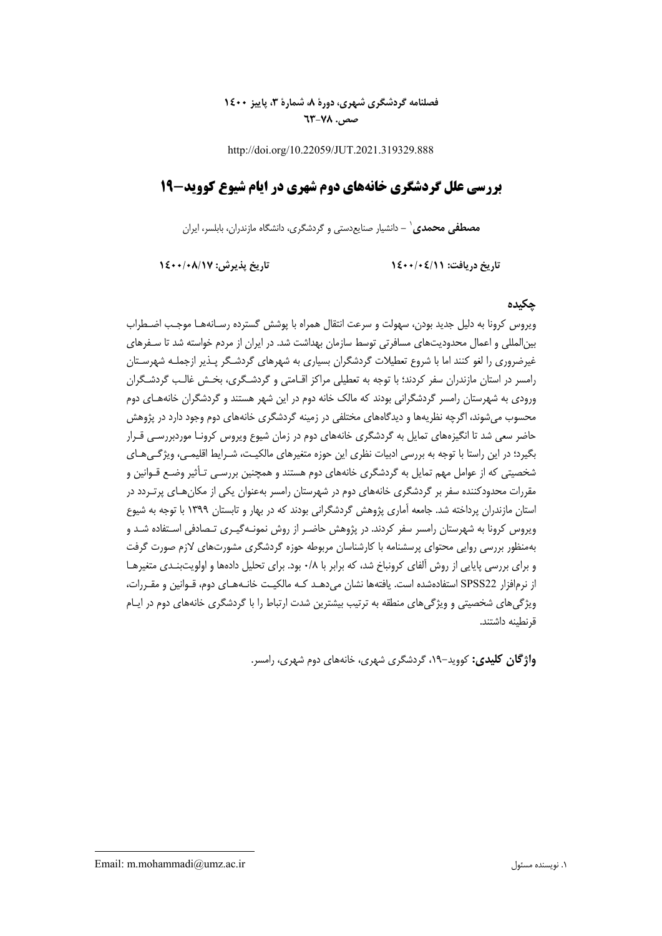# **فصلنامه گردشگري شهري، دورة ،8 شمارة ،3 پاييز 1400 صص. 63-78**

http://doi.org/10.22059/JUT.2021.319329.888

# **بررسي علل گردشگري خانههاي دوم شهري در ايام شيوع كوويد- 19**

**-** دانشيار صنايعدستي و گردشگري، دانشگاه مازندران، بابلسر، ايران <sup>1</sup> **مصطفي محمدي**

**تاريخ دريافت: 1400/04/11 تاريخ پذيرش: 1400/08/17**

# **چكيده**

ويروس كرونا به دليل جديد بودن، سهولت و سرعت انتقال همراه با پوشش گسترده رسـانه هـا موجـب اضـطراب بينالمللي و اعمال محدوديتهاي مسافرتي توسط سازمان بهداشت شد. در ايران از مردم خواسته شد تا سـفرهاي غيرضروري را لغو كنند اما با شروع تعطيلات گردشگران بسياري به شهرهاي گردشـگر پـذير ازجملـه شهرسـتان رامسر در استان مازندران سفر كردند؛ با توجه به تعطيلي مراكز اقـامتي و گردشـگري، بخـش غالـب گردشـگران ورودي به شهرستان رامسر گردشگراني بودند كه مالك خانه دوم در اين شهر هستند و گردشگران خانه هـاي دوم محسوب ميشوند، اگرچه نظريهها و ديدگاههاي مختلفي در زمينه گردشگري خانههاي دوم وجود دارد در پژوهش حاضر سعي شد تا انگيزههاي تمايل به گردشگري خانههاي دوم در زمان شيوع ويروس كرونـا موردبررسـي قـرار بگيرد؛ در اين راستا با توجه به بررسي ادبيات نظري اين حوزه متغيرهاي مالكيـت، شـرايط اقليمـي، ويژگـيهـاي شخصيتي كه از عوامل مهم تمايل به گردشگري خانههاي دوم هستند و همچنين بررسـي تـأثير وضـع قـوانين و مقررات محدودكننده سفر بر گردشگري خانههاي دوم در شهرستان رامسر بهعنوان يكي از مكانهـاي پرتـردد در استان مازندران پرداخته شد. جامعه آماري پژوهش گردشگراني بودند كه در بهار و تابستان 1399 با توجه به شيوع ويروس كرونا به شهرستان رامسر سفر كردند. در پژوهش حاضـر از روش نمونـهگيـري تـصادفي اسـتفاده شـد و بهمنظور بررسي روايي محتواي پرسشنامه با كارشناسان مربوطه حوزه گردشگري مشورت هاي لازم صورت گرفت و براي بررسي پايايي از روش آلفاي كرونباخ شد، كه برابر با 0/8 بود. براي تحليل دادهها و اولويتبنـدي متغيرهـا از نرمافزار 22SPSS استفادهشده است. يافتهها نشان ميدهـد كـه مالكيـت خانـههـاي دوم، قـوانين و مقـررات، ويژگيهاي شخصيتي و ويژگيهاي منطقه به ترتيب بيشترين شدت ارتباط را با گردشگري خانههاي دوم در ايـام قرنطينه داشتند.

**واژگان كليدي:** كوويد،19- گردشگري شهري، خانههاي دوم شهري، رامسر.

Email: m.mohammadi@umz.ac.ir مسئول نويسنده .1

**.**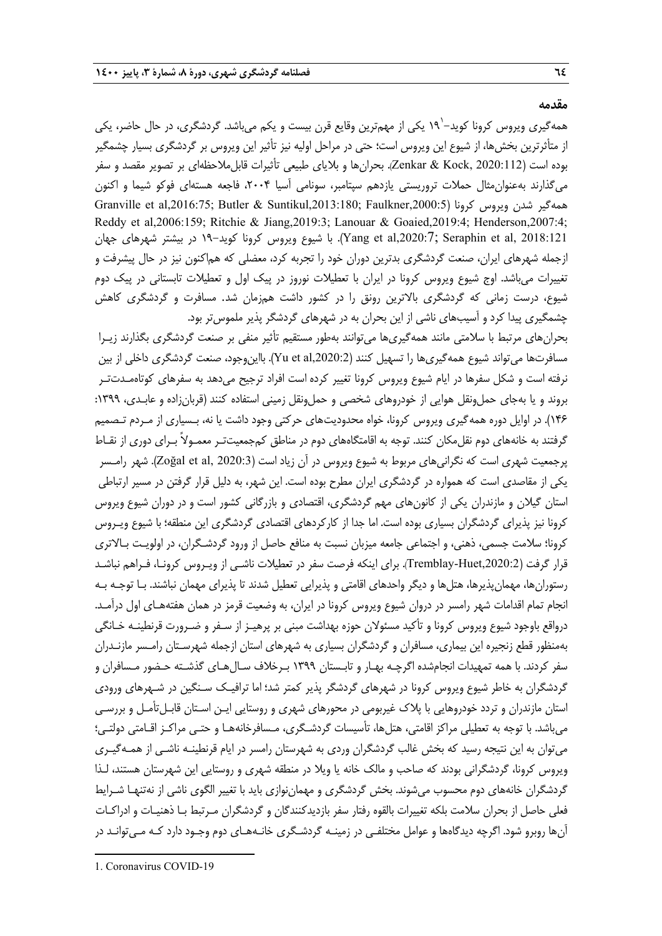#### **مقدمه**

همهگیری ویروس کرونا کوید–`۱۹ یکی از مهمترین وقایع قرن بیست و یکم میباشد. گردشگری، در حال حاضر، یکی از متأثرترين بخشها، از شيوع اين ويروس است؛ حتي در مراحل اوليه نيز تأثير اين ويروس بر گردشگري بسيار چشمگير بوده است (Zenkar & Kock, 2020:112). بحرانها و بلاياي طبيعي تأثيرات قابلملاحظهاي بر تصوير مقصد و سفر مي گذارند بهعنوان مثال حملات تروريستي يازدهم سپتامبر، سونامي آسيا ۲۰۰۴، فاجعه هستهاي فوكو شيما و اكنون Granville et al,2016:75; Butler & Suntikul,2013:180; Faulkner,2000:5) كرونا ويروس شدن همهگير Reddy et al,2006:159; Ritchie & Jiang,2019:3; Lanouar & Goaied,2019:4; Henderson,2007:4; 2018:121 ,Yang et al,2020:7; Seraphin et al). با شيوع ويروس كرونا كويد-١٩ در بيشتر شهرهاي جهان ازجمله شهرهاي ايران، صنعت گردشگري بدترين دوران خود را تجربه كرد، معضلي كه هماكنون نيز در حال پيشرفت و تغييرات ميباشد. اوج شيوع ويروس كرونا در ايران با تعطيلات نوروز در پيك اول و تعطيلات تابستاني در پيك دوم شيوع، درست زماني كه گردشگري بالاترين رونق را در كشور داشت همزمان شد. مسافرت و گردشگري كاهش چشمگيري پيدا كرد و آسيبهاي ناشي از اين بحران به در شهرهاي گردشگر پذير ملموستر بود.

بحرانهاي مرتبط با سلامتي مانند همهگيريها ميتوانند بهطور مستقيم تأثير منفي بر صنعت گردشگري بگذارند زيـرا مسافرتها مي تواند شيوع همهگيري ها را تسهيل كنند (Yu et al,2020:2). بااين وجود، صنعت گردشگري داخلي از بين نرفته است و شكل سفرها در ايام شيوع ويروس كرونا تغيير كرده است افراد ترجيح ميدهد به سفرهاي كوتاهمـدتتـر بروند و يا بهجاي حمل ونقل هوايي از خودروهاي شخصي و حمل ونقل زميني استفاده كنند (قربانزاده و عابـدي، ١٣٩٩: 146). در اوايل دوره همهگيري ويروس كرونا، خواه محدوديتهاي حركتي وجود داشت يا نه، بـسياري از مـردم تـصميم گرفتند به خانههاي دوم نقلمكان كنند. توجه به اقامتگاههاي دوم در مناطق كمجمعيتتـر معمـولاً بـراي دوري از نقـاط پرجمعيت شهري است كه نگراني هاي مربوط به شيوع ويروس در آن زياد است (2020:3 ,Zoğal et al, 2020). شهر رامـسر يكي از مقاصدي است كه همواره در گردشگري ايران مطرح بوده است. اين شهر، به دليل قرار گرفتن در مسير ارتباطي استان گيلان و مازندران يكي از كانونهاي مهم گردشگري، اقتصادي و بازرگاني كشور است و در دوران شيوع ويروس كرونا نيز پذيراي گردشگران بسياري بوده است. اما جدا از كاركردهاي اقتصادي گردشگري اين منطقه؛ با شيوع ويـروس كرونا؛ سلامت جسمي، ذهني، و اجتماعي جامعه ميزبان نسبت به منافع حاصل از ورود گردشـگران، در اولويـت بـالاتري قرار گرفت (Tremblay-Huet,2020:2). براي اينكه فرصت سفر در تعطيلات ناشـي از ويـروس كرونـا، فـراهم نباشـد رستورانها، مهمانپذيرها، هتلها و ديگر واحدهاي اقامتي و پذيرايي تعطيل شدند تا پذيراي مهمان نباشند. بـا توجـه بـه انجام تمام اقدامات شهر رامسر در دروان شيوع ويروس كرونا در ايران، به وضعيت قرمز در همان هفته هـاي اول درآمـد. درواقع باوجود شيوع ويروس كرونا و تأكيد مسئولان حوزه بهداشت مبني بر پرهيـز از سـفر و ضـرورت قرنطينـه خـانگي بهمنظور قطع زنجيره اين بيماري، مسافران و گردشگران بسياري به شهرهاي استان ازجمله شهرسـتان رامـسر مازنـدران سفر كردند. با همه تمهيدات انجامشده اگرچـه بهـار و تابـستان 1399 بـرخلاف سـالهـاي گذشـته حـضور مـسافران و گردشگران به خاطر شيوع ويروس كرونا در شهرهاي گردشگر پذير كمتر شد؛ اما ترافيـك سـنگين در شـهرهاي ورودي استان مازندران و تردد خودروهايي با پلاك غيربومي در محورهاي شهري و روستايي ايـن اسـتان قابـلتأمـل و بررسـي ميباشد. با توجه به تعطيلي مراكز اقامتي، هتلها، تأسيسات گردشـگري، مـسافرخانههـا و حتـي مراكـز اقـامتي دولتـي ؛ ميتوان به اين نتيجه رسيد كه بخش غالب گردشگران وردي به شهرستان رامسر در ايام قرنطينـه ناشـي از همـه گيـري ويروس كرونا، گردشگراني بودند كه صاحب و مالك خانه يا ويلا در منطقه شهري و روستايي اين شهرستان هستند، لـذا گردشگران خانههاي دوم محسوب ميشوند. بخش گردشگري و مهماننوازي بايد با تغيير الگوي ناشي از نهتنهـا شـرايط فعلي حاصل از بحران سلامت بلكه تغييرات بالقوه رفتار سفر بازديدكنندگان و گردشگران مـرتبط بـا ذهنيـات و ادراكـات آنها روبرو شود. اگرچه ديدگاهها و عوامل مختلفـي در زمينـه گردشـگري خانـه هـاي دوم وجـود دارد كـه مـيتوانـد در

**.** 

<sup>1.</sup> Coronavirus COVID-19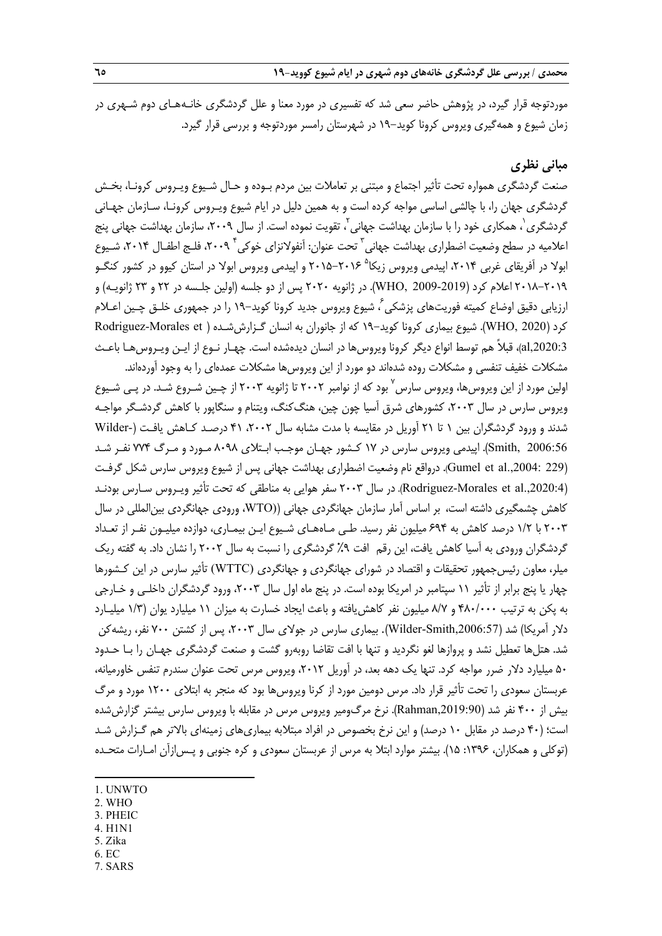موردتوجه قرار گيرد، در پژوهش حاضر سعي شد كه تفسيري در مورد معنا و علل گردشگري خانـههـاي دوم شـهري در زمان شيوع و همهگيري ويروس كرونا كويد19- در شهرستان رامسر موردتوجه و بررسي قرار گيرد.

# **مباني نظري**

صنعت گردشگري همواره تحت تأثير اجتماع و مبتني بر تعاملات بين مردم بـوده و حـال شـيوع ويـروس كرونـا، بخـش گردشگري جهان را، با چالشي اساسي مواجه كرده است و به همين دليل در ايام شيوع ويـروس كرونـا، سـازمان جهـاني گردشگری ٰ، همکاری خود را با سازمان بهداشت جهانی ٰ، تقویت نموده است. از سال ۲۰۰۹، سازمان بهداشت جهانی پنج اعلاميه در سطح وضعيت اضطراري بهداشت جهاني <sup>7</sup> تحت عنوان: آنفولانزاي خوكي ٢٠٠٩، فلـج اطفـال ٢٠١۴، شـيوع ابولا در آفريقاي غربي ۲۰۱۴، اپيدمي ويروس زيكا<sup>۵</sup> ۲۰۱۶–۲۰۱۵ و اپيدمي ويروس ابولا در استان كيوو در كشور كنگـو 2018-2019 اعلام كرد (2009-2019 ,WHO(. در ژانويه 2020 پس از دو جلسه (اولين جلـسه در 22 و 23 ژانويـه) و ارزيابي دقيق اوضاع كميته فوريتهاي يزشكي ً، شيوع ويروس جديد كرونا كويد-١٩ را در جمهوري خلـق چـين اعـلام كرد (WHO, 2020). شيوع بيماري كرونا كويد-١٩ كه از جانوران به انسان گـزارش شـده ( Rodriguez-Morales et ,2020:3al(، قبلاً هم توسط انواع ديگر كرونا ويروسها در انسان ديدهشده است. چهـار نـوع از ايـن ويـروسهـا باعـث مشكلات خفيف تنفسي و مشكلات روده شدهاند دو مورد از اين ويروسها مشكلات عمدهاي را به وجود آوردهاند.

اولين مورد از اين ويروس ها، ويروس سارس ّ بود كه از نوامبر ٢٠٠٢ تا ژانويه ٢٠٠٣ از چـين شـروع شـد. در پـي شـيوع ويروس سارس در سال ۲۰۰۳، كشورهاي شرق آسيا چون چين، هنگ كنگ، ويتنام و سنگاپور با كاهش گردشـگر مواجـه شدند و ورود گردشگران بين 1 تا 21 آوريل در مقايسه با مدت مشابه سال ،2002 41 درصـد كـاهش يافـت (-Wilder 2006:56 ,Smith(. اپيدمي ويروس سارس در 17 كـشور جهـان موجـب ابـتلاي 8098 مـورد و مـرگ 774 نفـر شـد (Gumel et al.,2004: 229). درواقع نام وضعيت اضطراري بهداشت جهاني پس از شيوع ويروس سارس شكل گرفـت (.,2020:4al et Morales-Rodriguez(. در سال 2003 سفر هوايي به مناطقي كه تحت تأثير ويـروس سـارس بودنـد كاهش چشمگيري داشته است، بر اساس آمار سازمان جهانگردي جهاني ((WTO، ورودي جهانگردي بينالمللي در سال 2003 با 1/2 درصد كاهش به 694 ميليون نفر رسيد. طـي مـاههـاي شـيوع ايـن بيمـاري، دوازده ميليـون نفـر از تعـداد گردشگران ورودي به آسيا كاهش يافت، اين رقم افت ٩٪ گردشگري را نسبت به سال ٢٠٠٢ را نشان داد. به گفته ريک ميلر، معاون رئيسجمهور تحقيقات و اقتصاد در شوراي جهانگردي و جهانگردي (WTTC (تأثير سارس در اين كـشورها چهار يا پنج برابر از تأثير 11 سپتامبر در امريكا بوده است. در پنج ماه اول سال ،2003 ورود گردشگران داخلـي و خـارجي به پكن به ترتيب 480/000 و 8/7 ميليون نفر كاهشيافته و باعث ايجاد خسارت به ميزان 11 ميليارد يوان (1/3 ميليـارد دلار آمريكا) شد (Wilder-Smith,2006:57). بيماري سارس در جولاي سال ۲۰۰۳، پس از كشتن ۷۰۰ نفر، ريشهكن شد. هتلها تعطيل نشد و پروازها لغو نگرديد و تنها با افت تقاضا روبهرو گشت و صنعت گردشگري جهـان را بـا حـدود ۵۰ ميليارد دلار ضرر مواجه كرد. تنها يك دهه بعد، در آوريل ۲۰۱۲، ويروس مرس تحت عنوان سندرم تنفس خاورميانه، عربستان سعودي را تحت تأثير قرار داد. مرس دومين مورد از كرنا ويروسها بود كه منجر به ابتلاي 1200 مورد و مرگ بيش از 400 نفر شد (,2019:90Rahman(. نرخ مرگومير ويروس مرس در مقابله با ويروس سارس بيشتر گزارش شده است؛ (40 درصد در مقابل 10 درصد) و اين نرخ بخصوص در افراد مبتلابه بيماريهاي زمينهاي بالاتر هم گـزارش شـد (توكلي و همكاران، :1396 15). بيشتر موارد ابتلا به مرس از عربستان سعودي و كره جنوبي و پـسازآن امـارات متحـده

- 1. UNWTO
- 2. WHO

**.** 

- 3. PHEIC
- 4. H1N1
- 5. Zika
- 6. EC 7. SARS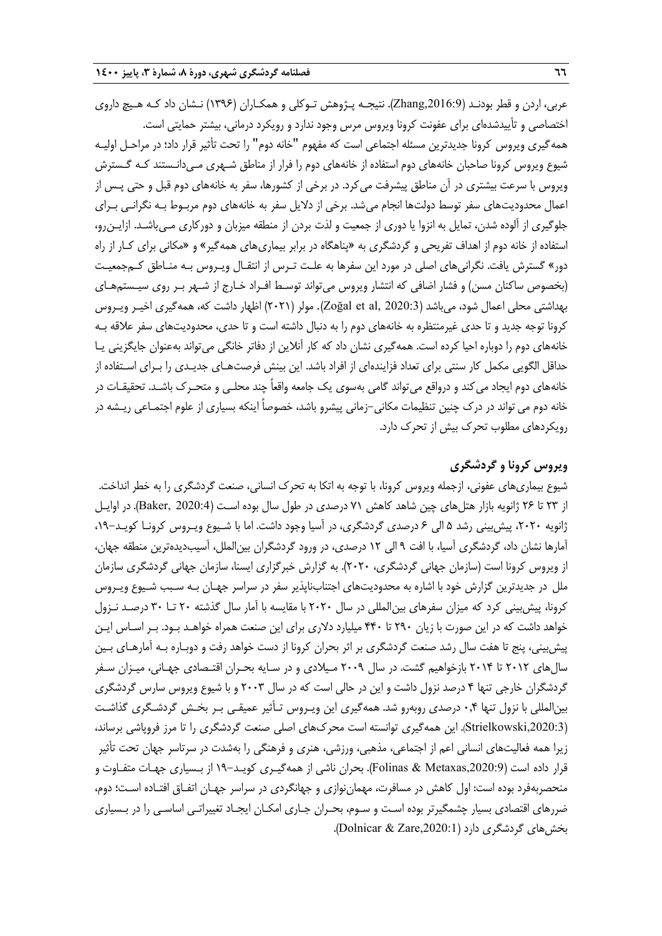عربي، اردن و قطر بودنـد (,2016:9Zhang(. نتيجـه پـژوهش تـوكلي و همكـاران (1396) نـشان داد كـه هـيچ داروي اختصاصي و تأييدشدهاي براي عفونت كرونا ويروس مرس وجود ندارد و رويكرد درماني، بيشتر حمايتي است. همهگيري ويروس كرونا جديدترين مسئله اجتماعي است كه مفهوم "خانه دوم" را تحت تأثير قرار داد؛ در مراحـل اوليـه شيوع ويروس كرونا صاحبان خانههاي دوم استفاده از خانههاي دوم را فرار از مناطق شـهري مـيدانـستند كـه گـسترش ويروس با سرعت بيشتري در آن مناطق پيشرفت ميكرد. در برخي از كشورها، سفر به خانههاي دوم قبل و حتي پـس از اعمال محدوديتهاي سفر توسط دولتها انجام ميشد. برخي از دلايل سفر به خانههاي دوم مربـوط بـه نگرانـي بـراي جلوگيري از آلوده شدن، تمايل به انزوا يا دوري از جمعيت و لذت بردن از منطقه ميزبان و دوركاري مـيباشـد. ازايـنرو، استفاده از خانه دوم از اهداف تفريحي و گردشگري به «پناهگاه در برابر بيماريهاي همهگير» و «مكاني براي كـار از راه دور» گسترش يافت. نگرانيهاي اصلي در مورد اين سفرها به علـت تـرس از انتقـال ويـروس بـه منـاطق كـم جمعيـت (بخصوص ساكنان مسن) و فشار اضافي كه انتشار ويروس ميتواند توسـط افـراد خـارج از شـهر بـر روي سيـستم هـاي بهداشتي محلي اعمال شود، ميباشد (2020:3 ,al et Zoğal(. مولر (2021) اظهار داشت كه، همهگيري اخيـر ويـروس كرونا توجه جديد و تا حدي غيرمنتظره به خانههاي دوم را به دنبال داشته است و تا حدي، محدوديتهاي سفر علاقه بـه خانههاي دوم را دوباره احيا كرده است. همهگيري نشان داد كه كار آنلاين از دفاتر خانگي ميتواند بهعنوان جايگزيني يـا حداقل الگويي مكمل كار سنتي براي تعداد فزايندهاي از افراد باشد. اين بينش فرصتهـاي جديـدي را بـراي اسـتفاده از خانههاي دوم ايجاد ميكند و درواقع ميتواند گامي بهسوي يك جامعه واقعاً چند محلـي و متحـرك باشـد. تحقيقـات در خانه دوم مي تواند در درك چنين تنظيمات مكاني-زماني پيشرو باشد، خصوصاً اينكه بسياري از علوم اجتمـاعي ريـشه در رويكردهاي مطلوب تحرك بيش از تحرك دارد.

# **ويروس كرونا و گردشگري**

شيوع بيماريهاي عفوني، ازجمله ويروس كرونا، با توجه به اتكا به تحرك انساني، صنعت گردشگري را به خطر انداخت. از 23 تا 26 ژانويه بازار هتلهاي چين شاهد كاهش 71 درصدي در طول سال بوده اسـت (2020:4 ,Baker(. در اوايـل ژانويه ۲۰۲۰، پيش بيني رشد ۵ الي ۶ درصدي گردشگري، در آسيا وجود داشت. اما با شـيوع ويـروس كرونـا كويـد–۱۹، آمارها نشان داد، گردشگري آسيا، با افت 9 الي 12 درصدي، در ورود گردشگران بينالملل، آسيبديدهترين منطقه جهان، از ويروس كرونا است (سازمان جهاني گردشگري، 2020). به گزارش خبرگزاري ايسنا، سازمان جهاني گردشگري سازمان ملل در جديدترين گزارش خود با اشاره به محدوديتهاي اجتنابناپذير سفر در سراسر جهـان بـه سـبب شـيوع ويـروس كرونا، پيش بيني كرد كه ميزان سفرهاي بين المللي در سال ٢٠٢٠ با مقايسه با آمار سال گذشته ٢٠ تــا ٣٠ درصـد نـزول خواهد داشت كه در اين صورت با زيان 290 تا 440 ميليارد دلاري براي اين صنعت همراه خواهـد بـود. بـر اسـاس ايـن پيشبيني، پنج تا هفت سال رشد صنعت گردشگري بر اثر بحران كرونا از دست خواهد رفت و دوبـاره بـه آمارهـاي بـين سالهاي 2012 تا 2014 بازخواهيم گشت. در سال 2009 مـيلادي و در سـايه بحـران اقتـصادي جهـاني، ميـزان سـفر گردشگران خارجي تنها 4 درصد نزول داشت و اين در حالي است كه در سال 2003 و با شيوع ويروس سارس گردشگري بينالمللي با نزول تنها 0,4 درصدي روبهرو شد. همهگيري اين ويـروس تـأثير عميقـي بـر بخـش گردشـگري گذاشـت (,2020:3Strielkowski(. اين همهگيري توانسته است محركهاي اصلي صنعت گردشگري را تا مرز فروپاشي برساند، زيرا همه فعاليتهاي انساني اعم از اجتماعي، مذهبي، ورزشي، هنري و فرهنگي را بهشدت در سرتاسر جهان تحت تأثير قرار داده است (Folinas & Metaxas,2020:9). بحران ناشي از همهگيـري كويـد–١٩ از بـسياري جهـات متفـاوت و منحصربهفرد بوده است: اول كاهش در مسافرت، مهماننوازي و جهانگردي در سراسر جهـان اتفـاق افتـاده اسـت؛ دوم، ضررهاي اقتصادي بسيار چشمگيرتر بوده اسـت و سـوم، بحـران جـاري امكـان ايجـاد تغييراتـي اساسـي را در بـسياري بخش هاي گردشگري دارد (Dolnicar & Zare,2020:1).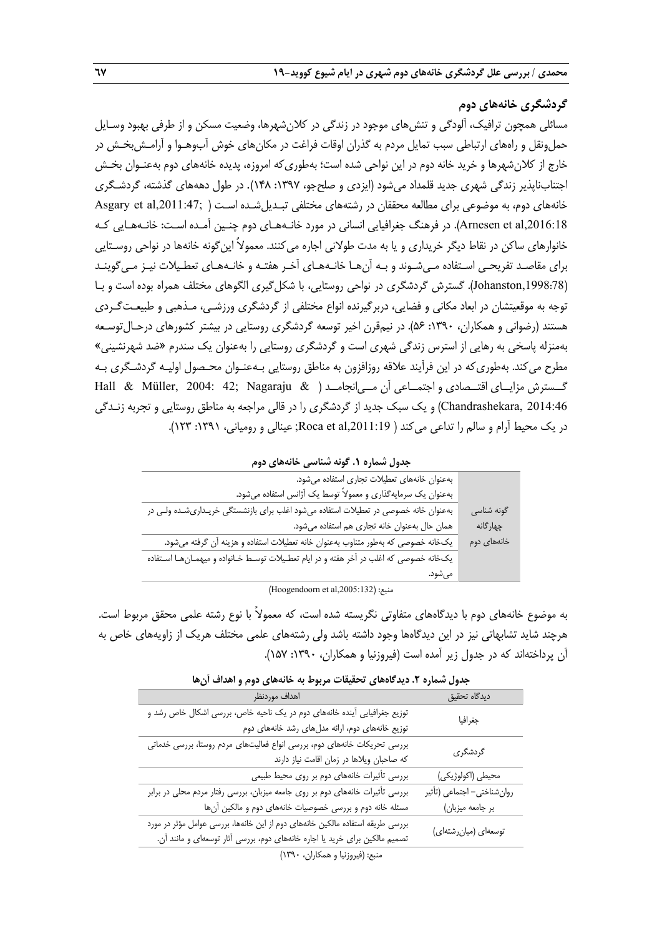# **گردشگري خانههاي دوم**

مسائلي همچون ترافيك، آلودگي و تنشهاي موجود در زندگي در كلانشهرها، وضعيت مسكن و از طرفي بهبود وسـايل حمل ونقل و راههاي ارتباطي سبب تمايل مردم به گذران اوقات فراغت در مكانهاي خوش آبوهـوا و آرامـش بخـش در خارج از كلانشهرها و خريد خانه دوم در اين نواحي شده است؛ به طوريكه امروزه، پديده خانههاي دوم بهعنـوان بخـش اجتنابناپذير زندگي شهري جديد قلمداد ميشود (ايزدي و صلحجو، :1397 148). در طول دهههاي گذشته، گردشـگري خانههاي دوم، به موضوعي براي مطالعه محققان در رشتههاي مختلفي تبـديلشـده اسـت ( ;,2011:47al et Asgary ,2016:18al et Arnesen(. در فرهنگ جغرافيايي انساني در مورد خانـههـاي دوم چنـين آمـده اسـت: خانـههـايي كـه خانوارهاي ساكن در نقاط ديگر خريداري و يا به مدت طولاني اجاره مي كنند. معمولاً اينگونه خانهها در نواحي روسـتايي براي مقاصـد تفريحـي اسـتفاده مـيشـوند و بـه آنهـا خانـههـاي آخـر هفتـه و خانـههـاي تعطـيلات نيـز مـيگوينـد (,1998:78Johanston(. گسترش گردشگري در نواحي روستايي، با شكلگيري الگوهاي مختلف همراه بوده است و بـا توجه به موقعيتشان در ابعاد مكاني و فضايي، دربرگيرنده انواع مختلفي از گردشگري ورزشـي، مـذهبي و طبيعـت گـردي هستند (رضواني و همكاران، :1390 56). در نيمقرن اخير توسعه گردشگري روستايي در بيشتر كشورهاي درحـال توسـعه بهمنزله پاسخي به رهايي از استرس زندگي شهري است و گردشگري روستايي را به عنوان يك سندرم «ضد شهرنشيني» مطرح ميكند. بهطوريكه در اين فرآيند علاقه روزافزون به مناطق روستايي بـه عنـوان محـصول اوليـه گردشـگري بـه گــسترش مزايــاي اقتــصادي و اجتمــاعي آن مــيانجامــد ( & Nagaraju; 42 2004: ,Müller & Hall 2014:46 ,Chandrashekara (و يك سبك جديد از گردشگري را در قالي مراجعه به مناطق روستايي و تجربه زنـدگي در يک محيط آرام و سالم را تداعي مي كند ( Roca et al,2011:19; عينالي و رومياني، ١٣٩١: ١٢٣).

|  | جدول شماره ۱. گونه شناسی خانههای دوم |  |
|--|--------------------------------------|--|
|--|--------------------------------------|--|

| گونه شناسی  |
|-------------|
| چهارگانه    |
| خانەھاي دوم |
|             |
|             |
|             |

(Hoogendoorn et al,2005:132) :منبع

به موضوع خانههاي دوم با ديدگاههاي متفاوتي نگريسته شده است، كه معمولاً با نوع رشته علمي محقق مربوط است. هرچند شايد تشابهاتي نيز در اين ديدگاهها وجود داشته باشد ولي رشتههاي علمي مختلف هريك از زاويههاي خاص به آن پرداختهاند كه در جدول زير آمده است (فيروزنيا <sup>و</sup> همكاران، :1390 157).

|                            | جنون تشدره ۰٫۰ میلاد مصطلح با تحقیقات شریرت به ساخته ملی موج و استفادت ان      |  |  |  |  |
|----------------------------|--------------------------------------------------------------------------------|--|--|--|--|
| ديدگاه تحقيق               | اهداف موردنظر                                                                  |  |  |  |  |
| جغرافيا                    | توزیع جغرافیایی آینده خانههای دوم در یک ناحیه خاص، بررسی اشکال خاص رشد و       |  |  |  |  |
|                            | توزیع خانههای دوم، ارائه مدلهای رشد خانههای دوم                                |  |  |  |  |
|                            | بررسی تحریکات خانههای دوم، بررسی انواع فعالیتهای مردم روستا، بررسی خدماتی      |  |  |  |  |
| گردشگری                    | كه صاحبان ويلاها در زمان اقامت نياز دارند                                      |  |  |  |  |
| محيطي (اكولوژيكي)          | بررسی تأثیرات خانههای دوم بر روی محیط طبیعی                                    |  |  |  |  |
| روانشناختي- اجتماعي (تأثير | بررسی تأثیرات خانههای دوم بر روی جامعه میزبان، بررسی رفتار مردم محلی در برابر  |  |  |  |  |
| بر جامعه میزبان)           | مسئله خانه دوم و بررسی خصوصیات خانههای دوم و مالکین آنها                       |  |  |  |  |
|                            | بررسی طریقه استفاده مالکین خانههای دوم از این خانهها، بررسی عوامل مؤثر در مورد |  |  |  |  |
| توسعهای (میانرشتهای)       | تصمیم مالکین برای خرید یا اجاره خانههای دوم، بررسی آثار توسعهای و مانند آن.    |  |  |  |  |
|                            | منبع: (فيروزنيا و همكاران، ١٣٩٠)                                               |  |  |  |  |
|                            |                                                                                |  |  |  |  |

**جدول شماره .2 ديدگاههاي تحقيقات مربوط به خانههاي دوم و اهداف آنها**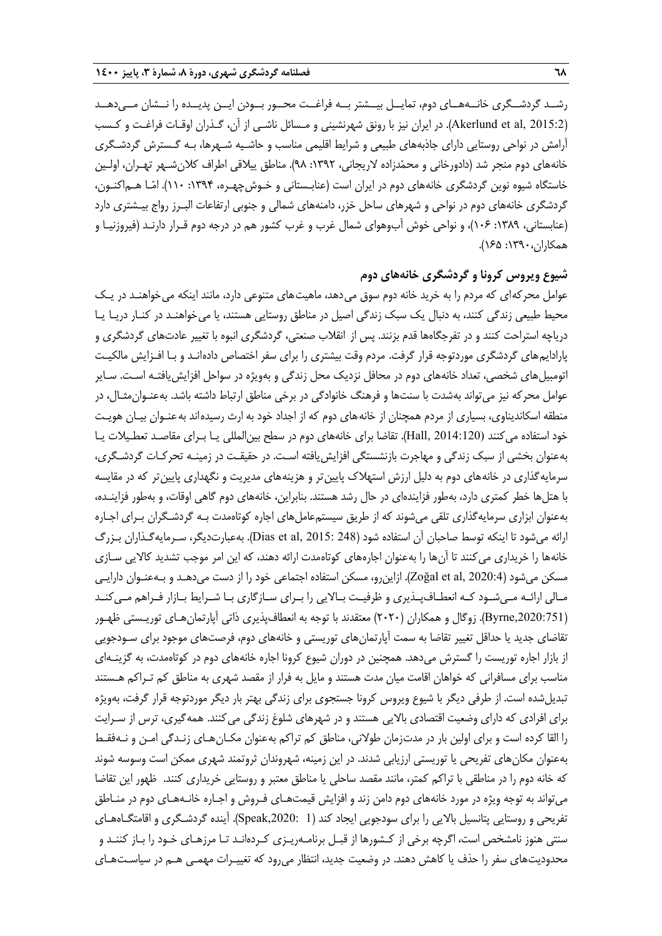رشــد گردشــگري خانــههــاي دوم، تمايــل بيــشتر بــه فراغــت محــور بــودن ايــن پديــده را نــشان مــيدهــد (Akerlund et al, 2015:2). در ايران نيز با رونق شهرنشيني و مـسائل ناشـي از آن، گـذران اوقـات فراغـت و كـسب آرامش در نواحي روستايي داراي جاذبههاي طبيعي و شرايط اقليمي مناسب و حاشـيه شـهرها، بـه گـسترش گردشـگري خانههاي دوم منجر شد (دادورخاني و محمدزاده لاريجاني، :1392 98). مناطق ييلاقي اطراف كلانشـهر تهـران، اولـين خاستگاه شيوه نوين گردشگري خانههاي دوم در ايران است (عنابـستاني و خـوشچهـره، :1394 110). امـا هـماكنـون، گردشگري خانههاي دوم در نواحي و شهرهاي ساحل خزر، دامنههاي شمالي و جنوبي ارتفاعات البـرز رواج بيـشتري دارد (عنابستاني، ١٣٨٩: ١٠۶)، و نواحي خوش آبوهواي شمال غرب و غرب كشور هم در درجه دوم قـرار دارنـد (فيروزنيـا و همكاران:1390، 165).

# **شيوع ويروس كرونا و گردشگري خانههاي دوم**

عوامل محركهاي كه مردم را به خريد خانه دوم سوق مي دهد، ماهيت هاي متنوعي دارد، مانند اينكه مي خواهنـد در يـك محيط طبيعي زندگي كنند، به دنبال يك سبك زندگي اصيل در مناطق روستايي هستند، يا ميخواهنـد در كنـار دريـا يـا درياچه استراحت كنند و در تفرجگاهها قدم بزنند. پس از انقلاب صنعتي، گردشگري انبوه با تغيير عادتهاي گردشگري و پارادايمهاي گردشگري موردتوجه قرار گرفت. مردم وقت بيشتري را براي سفر اختصاص دادهانـد و بـا افـزايش مالكيـت اتومبيلهاي شخصي، تعداد خانههاي دوم در محافل نزديك محل زندگي و بهويژه در سواحل افزايشيافتـه اسـت. سـاير عوامل محركه نيز ميتواند بهشدت با سنتها و فرهنگ خانوادگي در برخي مناطق ارتباط داشته باشد. بهعنـوانمثـال، در منطقه اسكانديناوي، بسياري از مردم همچنان از خانههاي دوم كه از اجداد خود به ارث رسيدهاند بهعنـوان بيـان هويـت خود استفاده ميكنند (2014:120 ,Hall(. تقاضا براي خانههاي دوم در سطح بينالمللي يـا بـراي مقاصـد تعطـيلات يـا بهعنوان بخشي از سبك زندگي و مهاجرت بازنشستگي افزايشيافته اسـت. در حقيقـت در زمينـه تحركـات گردشـگري، سرمايهگذاري در خانههاي دوم به دليل ارزش استهلاك پايينتر و هزينههاي مديريت و نگهداري پايينتر كه در مقايسه با هتلها خطر كمتري دارد، بهطور فزايندهاي در حال رشد هستند. بنابراين، خانههاي دوم گاهي اوقات، و بهطور فزاينـده، بهعنوان ابزاري سرمايهگذاري تلقي ميشوند كه از طريق سيستمعاملهاي اجاره كوتاهمدت بـه گردشـگران بـراي اجـاره ارائه مي شود تا اينكه توسط صاحبان آن استفاده شود (Dias et al, 2015: 248). بهعبارتديگر، سـرمايهگـذاران بـزرگ خانهها را خريداري ميكنند تا آنها را بهعنوان اجارههاي كوتاهمدت ارائه دهند، كه اين امر موجب تشديد كالايي سـازي مسكن ميشود (Zoğal et al, 2020:4). ازاين و، مسكن استفاده اجتماعي خود را از دست ميدهـد و بـهعنـوان دارايـي مـالي ارائـه مـيشـود كـه انعطـافپـذيري و ظرفيـت بـالايي را بـراي سـازگاري بـا شـرايط بـازار فـراهم مـيكنـد (,2020:751Byrne(. زوگال و همكاران (2020) معتقدند با توجه به انعطافپذيري ذاتي آپارتمانهـاي توريـستي ظهـور تقاضاي جديد يا حداقل تغيير تقاضا به سمت آپارتمانهاي توريستي و خانههاي دوم، فرصتهاي موجود براي سـودجويي از بازار اجاره توريست را گسترش ميدهد. همچنين در دوران شيوع كرونا اجاره خانههاي دوم در كوتاهمدت، به گزينـهاي مناسب براي مسافراني كه خواهان اقامت ميان مدت هستند و مايل به فرار از مقصد شهري به مناطق كم تـراكم هـستند تبديلشده است. از طرفي ديگر با شيوع ويروس كرونا جستجوي براي زندگي بهتر بار ديگر موردتوجه قرار گرفت، بهويژه براي افرادي كه داراي وضعيت اقتصادي بالايي هستند و در شهرهاي شلوغ زندگي ميكنند. همهگيري، ترس از سـرايت را القا كرده است و براي اولين بار در مدتزمان طولاني، مناطق كم تراكم بهعنوان مكـانهـاي زنـدگي امـن و نـهفقـط بهعنوان مكانهاي تفريحي يا توريستي ارزيابي شدند. در اين زمينه، شهروندان ثروتمند شهري ممكن است وسوسه شوند كه خانه دوم را در مناطقي با تراكم كمتر، مانند مقصد ساحلي يا مناطق معتبر و روستايي خريداري كنند. ظهور اين تقاضا ميتواند به توجه ويژه در مورد خانههاي دوم دامن زند و افزايش قيمتهـاي فـروش و اجـاره خانـههـاي دوم در منـاطق تفريحي و روستايي پتانسيل بالايي را براي سودجويي ايجاد كند (1 ,2020:Speak(. آينده گردشـگري و اقامتگـاههـاي سنتي هنوز نامشخص است، اگرچه برخي از كـشورها از قبـل برنامـهريـزي كـردهانـد تـا مرزهـاي خـود را بـاز كننـد و محدوديتهاي سفر را حذف يا كاهش دهند. در وضعيت جديد، انتظار ميرود كه تغييـرات مهمـي هـم در سياسـتهـاي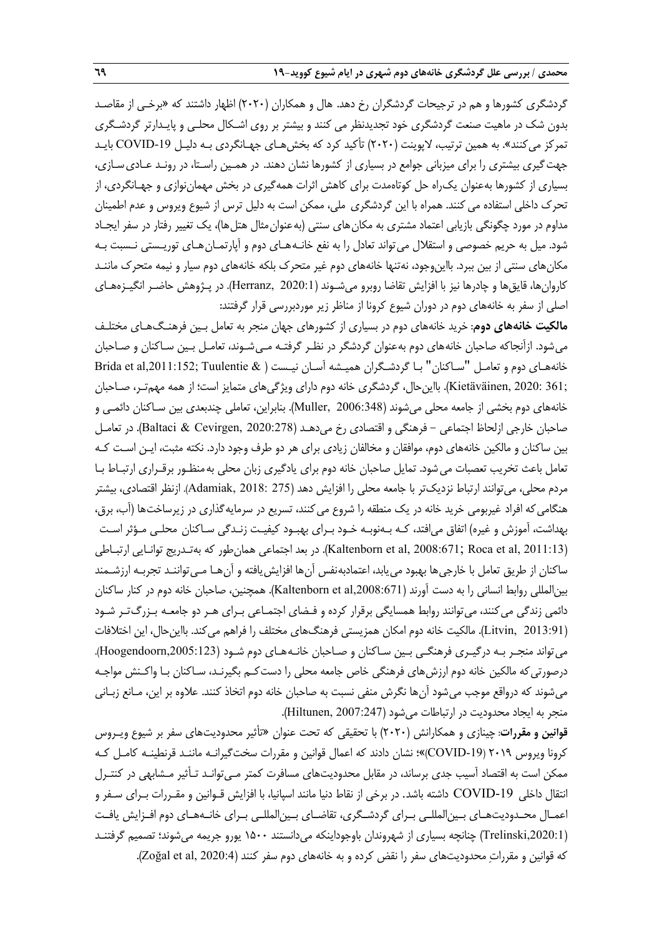گردشگري كشورها و هم در ترجيحات گردشگران رخ دهد. هال و همكاران (2020) اظهار داشتند كه «برخـي از مقاصـد بدون شك در ماهيت صنعت گردشگري خود تجديدنظر مي كنند و بيشتر بر روي اشـكال محلـي و پايـدارتر گردشـگري تمركز مي كنند». به همين ترتيب، لاپوينت (٢٠٢٠) تأكيد كرد كه بخش هـاي جهـانگردي بـه دليـل COVID-19 بايـد جهتگيري بيشتري را براي ميزباني جوامع در بسياري از كشورها نشان دهند. در همـين راسـتا، در رونـد عـاديسـازي، بسياري از كشورها بهعنوان يكراه حل كوتاهمدت براي كاهش اثرات همهگيري در بخش مهماننوازي و جهـانگردي، از تحرك داخلي استفاده ميكنند. همراه با اين گردشگري ملي، ممكن است به دليل ترس از شيوع ويروس و عدم اطمينان مداوم در مورد چگونگي بازيابي اعتماد مشتري به مكان هاي سنتي (بهعنوان مثال هتل ها)، يک تغيير رفتار در سفر ايجـاد شود. ميل به حريم خصوصي و استقلال ميتواند تعادل را به نفع خانـههـاي دوم و آپارتمـانهـاي توريـستي نـسبت بـه مكانهاي سنتي از بين ببرد. بااينوجود، نهتنها خانههاي دوم غير متحرك بلكه خانههاي دوم سيار و نيمه متحرك ماننـد كاروانها، قايق ها و چادرها نيز با افزايش تقاضا روبرو ميشـوند (Herranz, 2020:1). در پـژوهش حاضـر انگيـزههـاي اصلي از سفر به خانههاي دوم در دوران شيوع كرونا از مناظر زير موردبررسي قرار گرفتند:

**مالكيت خانههاي دوم**: خريد خانههاي دوم در بسياري از كشورهاي جهان منجر به تعامل بـين فرهنـگهـاي مختلـف ميشود. ازآنجاكه صاحبان خانههاي دوم بهعنوان گردشگر در نظـر گرفتـه مـيشـوند، تعامـل بـين سـاكنان و صـاحبان خانههـاي دوم و تعامـل "سـاكنان" بـا گردشـگران هميـشه آسـان نيـست ( & Tuulentie; ,2011:152al et Brida ;361 2020: ,Kietäväinen(. بااينحال، گردشگري خانه دوم داراي ويژگيهاي متمايز است؛ از همه مهمتـر، صـاحبان خانههاي دوم بخشي از جامعه محلي ميشوند (2006:348 ,Muller(. بنابراين، تعاملي چندبعدي بين سـاكنان دائمـي و صاحبان خارجي ازلحاظ اجتماعي – فرهنگي و اقتصادي رخ مي دهـد (2020:278 ,Baltaci & Cevirgen). در تعامـل بين ساكنان و مالكين خانههاي دوم، موافقان و مخالفان زيادي براي هر دو طرف وجود دارد. نكته مثبت، ايـن اسـت كـه تعامل باعث تخريب تعصبات ميشود. تمايل صاحبان خانه دوم براي يادگيري زبان محلي بهمنظـور برقـراري ارتبـاط بـا مردم محلي، ميتوانند ارتباط نزديكتر با جامعه محلي را افزايش دهد (275 2018: ,Adamiak(. ازنظر اقتصادي، بيشتر هنگاميكه افراد غيربومي خريد خانه در يك منطقه را شروع ميكنند، تسريع در سرمايهگذاري در زيرساختها (آب، برق، بهداشت، آموزش و غيره) اتفاق ميافتد، كـه بـهنوبـه خـود بـراي بهبـود كيفيـت زنـدگي سـاكنان محلـي مـؤثر اسـت (2011:13 ,Kaltenborn et al, 2008:671; Roca et al). در بعد اجتماعي همان طور كه بهتـدريج توانـايي ارتبـاطي ساكنان از طريق تعامل با خارجيها بهبود مييابد، اعتمادبهنفس آنها افزايشيافته و آنهـا مـيتواننـد تجربـه ارزشـمند بين|لمللي روابط انساني را به دست آورند (Kaltenborn et al,2008:671). همچنين، صاحبان خانه دوم در كنار ساكنان دائمي زندگي ميكنند، ميتوانند روابط همسايگي برقرار كرده و فـضاي اجتمـاعي بـراي هـر دو جامعـه بـزرگتـر شـود (Litvin, 2013:91). مالكيت خانه دوم امكان همزيستي فرهنگهاي مختلف را فراهم ميكند. بااينحال، اين اختلافات ميتواند منجـر بـه درگيـري فرهنگـي بـين سـاكنان و صـاحبان خانـههـاي دوم شـود (,2005:123Hoogendoorn(. درصورتيكه مالكين خانه دوم ارزشهاي فرهنگي خاص جامعه محلي را دستكـم بگيرنـد، سـاكنان بـا واكـنش مواجـه ميشوند كه درواقع موجب ميشود آنها نگرش منفي نسبت به صاحبان خانه دوم اتخاذ كنند. علاوه بر اين، مـانع زبـاني منجر به ايجاد محدوديت در ارتباطات مي شود (Hiltunen, 2007:247).

**قوانين و مقررات**: چينازي و همكارانش (2020) با تحقيقي كه تحت عنوان «تأثير محدوديتهاي سفر بر شيوع ويـروس كرونا ويروس ٢٠١٩ (COVID-19)»؛ نشان دادند كه اعمال قوانين و مقررات سخت گيرانـه ماننـد قرنطينـه كامـل كـه ممكن است به اقتصاد آسيب جدي برساند، در مقابل محدوديت هاي مسافرت كمتر مـيتوانـد تـأثير مـشابهي در كنتـرل انتقال داخلي -19COVID داشته باشد. در برخي از نقاط دنيا مانند اسپانيا، با افزايش قـوانين و مقـررات بـراي سـفر و اعمـال محـدوديتهـاي بـينالمللـي بـراي گردشـگري، تقاضـاي بـينالمللـي بـراي خانـههـاي دوم افـزايش يافـت (,2020:1Trelinski (چنانچه بسياري از شهروندان باوجوداينكه ميدانستند 1500 يورو جريمه ميشوند؛ تصميم گرفتنـد كه قوانين و مقررات محدوديتهاي سفر را نقض كرده و به خانههاي دوم سفر كنند (Zoğal et al, 2020:4).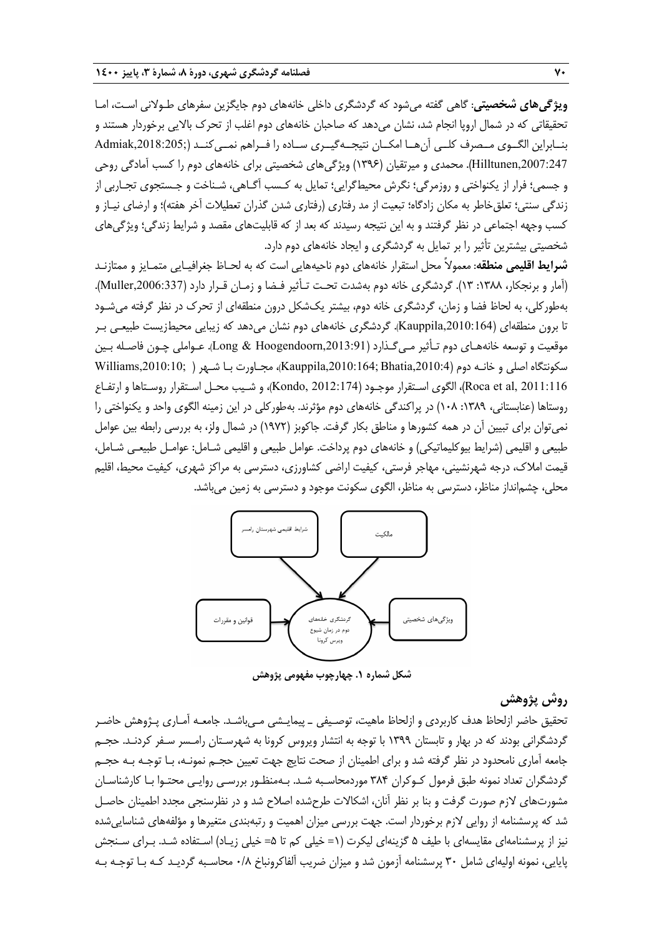**ويژگيهاي شخصيتي**: گاهي گفته ميشود كه گردشگري داخلي خانههاي دوم جايگزين سفرهاي طـولاني اسـت، امـا تحقيقاتي كه در شمال اروپا انجام شد، نشان ميدهد كه صاحبان خانههاي دوم اغلب از تحرك بالايي برخوردار هستند و بنــابراين الگــوي مــصرف كلــي آنهــا امكــان نتيجــهگيــري ســاده را فــراهم نمــيكنــد (;,2018:205Admiak ,2007:247Hilltunen(. محمدي و ميرتقيان (1396) ويژگيهاي شخصيتي براي خانههاي دوم را كسب آمادگي روحي و جسمي؛ فرار از يكنواختي و روزمرگي؛ نگرش محيطگرايي؛ تمايل به كـسب آگـاهي، شـناخت و جـستجوي تجـاربي از زندگي سنتي؛ تعلقخاطر به مكان زادگاه؛ تبعيت از مد رفتاري (رفتاري شدن گذران تعطيلات آخر هفته)؛ و ارضاي نيـاز و كسب وجهه اجتماعي در نظر گرفتند و به اين نتيجه رسيدند كه بعد از كه قابليتهاي مقصد و شرايط زندگي؛ ويژگيهاي شخصيتي بيشترين تأثير را بر تمايل به گردشگري و ايجاد خانههاي دوم دارد.

**شرايط اقليمي منطقه**: معمولاً محل استقرار خانههاي دوم ناحيههايي است كه به لحـاظ جغرافيـايي متمـايز و ممتازنـد (آمار و برنجكار، ۱۳۸۸: ۱۳). گردشگري خانه دوم بهشدت تحـت تـأثير فـضا و زمـان قـرار دارد (Muller,2006:337). بهطوركلي، به لحاظ فضا و زمان، گردشگري خانه دوم، بيشتر يك شكل درون منطقهاي از تحرك در نظر گرفته ميشـود تا برون منطقهاي (,2010:164Kauppila(. گردشگري خانههاي دوم نشان ميدهد كه زيبايي محيطزيست طبيعـي بـر موقعيت و توسعه خانههـاي دوم تـأثير مـيگـذارد (,2013:91Hoogendoorn & Long(. عـواملي چـون فاصـله بـين سكونتگاه اصلي و خانـه دوم (,2010:4Bhatia; ,2010:164Kauppila(، مجـاورت بـا شـهر ( ;,2010:10Williams 2011:116 ,al et Roca(، الگوي اسـتقرار موجـود (2012:174 ,Kondo(، و شـيب محـل اسـتقرار روسـتاها و ارتفـاع روستاها (عنابستاني، :1389 108) در پراكندگي خانههاي دوم مؤثرند. بهطوركلي در اين زمينه الگوي واحد و يكنواختي را نميتوان براي تبيين آن در همه كشورها و مناطق بكار گرفت . جاكوبز (1972) در شمال ولز، به بررسي رابطه بين عوامل طبيعي و اقليمي (شرايط بيوكليماتيكي) و خانههاي دوم پرداخت. عوامل طبيعي و اقليمي شـامل: عوامـل طبيعـي شـامل، قيمت املاك، درجه شهرنشيني، مهاجر فرستي، كيفيت اراضي كشاورزي، دسترسي به مراكز شهري، كيفيت محيط، اقليم محلي، چشمانداز مناظر، دسترسي به مناظر، الگوي سكونت موجود <sup>و</sup> دسترسي به زمين ميباشد.



**شكل شماره .1 چهارچوب مفهومي پژوهش**

# **روش پژوهش**

تحقيق حاضر ازلحاظ هدف كاربردي و ازلحاظ ماهيت، توصـيفي ـ پيمايـشي مـيباشـد. جامعـه آمـاري پـژوهش حاضـر گردشگراني بودند كه در بهار و تابستان 1399 با توجه به انتشار ويروس كرونا به شهرسـتان رامـسر سـفر كردنـد. حجـم جامعه آماري نامحدود در نظر گرفته شد و براي اطمينان از صحت نتايج جهت تعيين حجـم نمونـه، بـا توجـه بـه حجـم گردشگران تعداد نمونه طبق فرمول كـوكران 384 موردمحاسـبه شـد. بـهمنظـور بررسـي روايـي محتـوا بـا كارشناسـان مشورتهاي لازم صورت گرفت و بنا بر نظر آنان، اشكالات طرح شده اصلاح شد و در نظرسنجي مجدد اطمينان حاصـل شد كه پرسشنامه از روايي لازم برخوردار است. جهت بررسي ميزان اهميت و رتبهبندي متغيرها و مؤلفههاي شناساييشده نيز از پرسشنامهاي مقايسهاي با طيف 5 گزينهاي ليكرت (1= خيلي كم تا 5= خيلي زيـاد) اسـتفاده شـد. بـراي سـنجش پايايي، نمونه اوليهاي شامل 30 پرسشنامه آزمون شد و ميزان ضريب آلفاكرونباخ 0/8 محاسـبه گرديـد كـه بـا توجـه بـه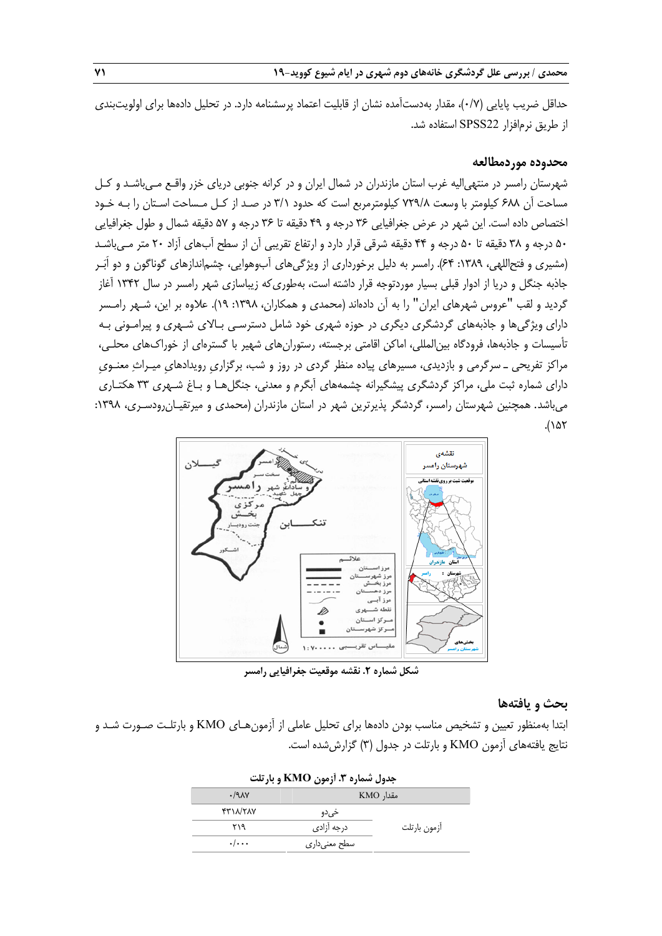حداقل ضريب پايايي (0/7)، مقدار بهدستآمده نشان از قابليت اعتماد پرسشنامه دارد. در تحليل دادهها براي اولويتبندي از طريق نرمافزار 22SPSS استفاده شد.

#### **محدوده موردمطالعه**

شهرستان رامسر در منتهياليه غرب استان مازندران در شمال ايران و در كرانه جنوبي درياي خزر واقـع مـي باشـد و كـل مساحت آن 688 كيلومتر با وسعت 729/8 كيلومترمربع است كه حدود 3/1 در صـد از كـل مـساحت اسـتان را بـه خـود اختصاص داده است. اين شهر در عرض جغرافيايي 36 درجه و 49 دقيقه تا 36 درجه و 57 دقيقه شمال و طول جغرافيايي 50 درجه و 38 دقيقه تا 50 درجه و 44 دقيقه شرقي قرار دارد و ارتفاع تقريبي آن از سطح آب هاي آزاد 20 متر مـيباشـد (مشيري و فتح|للهي، ١٣٨٩: ۶۴). رامسر به دليل برخورداري از ويژگيهاي آبوهوايي، چشم|ندازهاي گوناگون و دو اَبَـر جاذبه جنگل و دريا از ادوار قبلي بسيار موردتوجه قرار داشته است، بهطوريكه زيباسازي شهر رامسر در سال 1342 آغاز گرديد و لقب "عروس شهرهاي ايران" را به آن دادهاند (محمدي و همكاران، ١٣٩٨: ١٩). علاوه بر اين، شـهر رامـسر داراي ويژگيها و جاذبههاي گردشگري ديگري در حوزه شهري خود شامل دسترسـي بـالاي شـهري و پيرامـوني بـه تأسيسات و جاذبهها، فرودگاه بينالمللي، اماكن اقامتي برجسته، رستورانهاي شهير با گسترهاي از خوراكهاي محلـي، مراكز تفريحي ـ سرگرمي و بازديدي، مسيرهاي پياده منظر گردي در روز و شب، برگزاريِ رويدادهايِ ميـراث معنـويِ داراي شماره ثبت ملي، مراكز گردشگري پيشگيرانه چشمههاي آبگرم و معدني، جنگلهـا و بـاغ شـهري 33 هكتـاري مي باشد. همچنين شهرستان رامسر، گردشگر پذيرترين شهر در استان مازندران (محمدي و ميرتقيـان رودسـري، ١٣٩٨:  $.(\lambda \Delta \tau)$ 



**شكل شماره .2 نقشه موقعيت جغرافيايي رامسر**

## **بحث و يافتهها**

ابتدا بهمنظور تعيين و تشخيص مناسب بودن دادهها براي تحليل عاملي از آزمونهـاي KMO و بارتلـت صـورت شـد و نتايج يافتههاي آزمون KMO و بارتلت در جدول (3) گزارششده است.

| جدول شماره ۳. أزمون KMO و بارتلت |               |              |  |  |  |  |
|----------------------------------|---------------|--------------|--|--|--|--|
| .79                              | مقدار KMO     |              |  |  |  |  |
| <b>FTIN/TAY</b>                  | خي دو         |              |  |  |  |  |
| ۲۱۹                              | درجه آزادى    | ازمون بارتلت |  |  |  |  |
| $\cdot$ / $\cdot$ $\cdot$        | سطح معنی داری |              |  |  |  |  |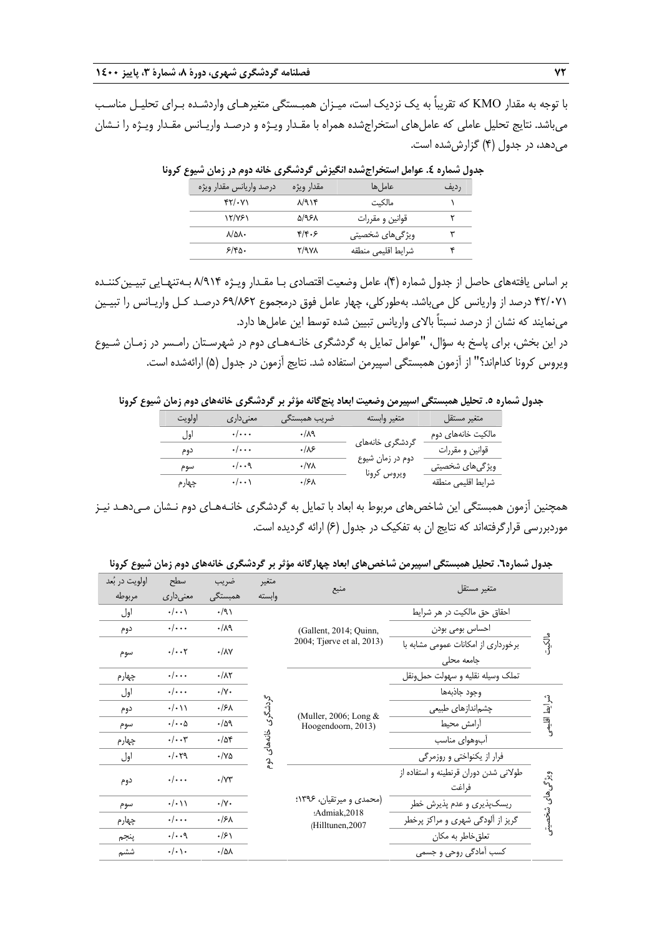با توجه به مقدار KMO كه تقريباً به يك نزديك است، ميـزان همبـستگي متغيرهـاي واردشـده بـراي تحليـل مناسـب ميباشد. نتايج تحليل عاملي كه عاملهاي استخراجشده همراه با مقـدار ويـژه و درصـد واريـانس مقـدار ويـژه را نـشان ميدهد، در جدول (4) گزارششده است.

| <u>.</u><br>- 775 - 77<br>້ |            | ີ<br>.                  | . <i>.</i> .<br>- - - |
|-----------------------------|------------|-------------------------|-----------------------|
| ّدرصد واريانس مقدار ويژه    | مقدار ويژه | عاما ,ها                | رديف                  |
| $YY/\cdot Y$                | ۸/۹۱۴      | مالكىت                  |                       |
| ۱۲/۷۶۱                      | ۵/۹۶۸      | قوانین و مقررات         |                       |
| $\lambda/\Delta\lambda$     | ۴/۴۰۶      | ویژگیها <i>ی</i> شخصیتی | ٣                     |
| ۶/۴۵۰                       | 8/9 V A    | شرايط اقليمى منطقه      |                       |
|                             |            |                         |                       |

**جدول شماره .4 عوامل استخراجشده انگيزش گردشگري خانه دوم در زمان شيوع كرونا** 

بر اساس يافتههاي حاصل از جدول شماره (4)، عامل وضعيت اقتصادي بـا مقـدار ويـژه 8/914 بـهتنهـايي تبيـينكننـده 42/071 درصد از واريانس كل ميباشد. بهطوركلي، چهار عامل فوق درمجموع 69/862 درصـد كـل واريـانس را تبيـين مينمايند كه نشان از درصد نسبتاً بالاي واريانس تبيين شده توسط اين عاملها دارد.

در اين بخش، براي پاسخ به سؤال، "عوامل تمايل به گردشگري خانـههـاي دوم در شهرسـتان رامـسر در زمـان شـيوع ويروس كرونا كداماند؟" از آزمون همبستگي اسپيرمن استفاده شد. نتايج آزمون در جدول (5) ارائهشده است.

جدول شماره ٥. تحلیل همبستگی اسپیرمن وضعیت ابعاد پنج گانه مؤثر بر گردشگری خانههای دوم زمان شیوع کرونا

| اولويت | معنے ردار ی             | ضريب همبستگي     | متغير وابسته     | متغير مستقل                     |
|--------|-------------------------|------------------|------------------|---------------------------------|
| اول    | $\cdot/\cdot\cdot\cdot$ | ۰/۸۹             |                  | مالکیت خانههای دوم              |
| دوم    | $\cdot/\cdot\cdot\cdot$ | .18              | گردشگری خانههای  | قوانين و مقررات                 |
| سوم    | $\cdot/\cdot\cdot$ ٩    | ۰/۷۸             | دوم در زمان شیوع | ویژگیها <i>ی</i> شخصیت <i>ی</i> |
| چهارم  | $\cdot/\cdot\cdot$      | .15 <sub>A</sub> | ويروس كرونا      | شرايط اقليمي منطقه              |
|        |                         |                  |                  |                                 |

همچنين آزمون همبستگي اين شاخص هاي مربوط به ابعاد با تمايل به گردشگري خانـههـاي دوم نـشان مـي دهـد نيـز موردبررسي قرارگرفتهاند كه نتايج ان به تفكيك در جدول (6) ارائه گرديده است.

| جدول شماره٦. تحلیل همبستگی اسپیرمن شاخصهای ابعاد چهارگانه مؤثر بر گردشگری خانههای دوم زمان شیوع کرونا |  |  |  |  |  |
|-------------------------------------------------------------------------------------------------------|--|--|--|--|--|
|-------------------------------------------------------------------------------------------------------|--|--|--|--|--|

| اولويت در بُعد<br>مربوطه | سطح<br>معنىدارى             | ضريب<br>همبستگی           | متغير<br>وابسته                       | منبع                                                         | متغير مستقل                                    |                           |                                                   |       |
|--------------------------|-----------------------------|---------------------------|---------------------------------------|--------------------------------------------------------------|------------------------------------------------|---------------------------|---------------------------------------------------|-------|
| اول                      | $\cdot/\cdot\cdot$          | $\cdot$ /9)               |                                       |                                                              | احقاق حق مالكيت در هر شرايط                    |                           |                                                   |       |
| دوم                      | $\cdot/\cdot\cdot$          | $\cdot/\lambda$ 9         |                                       | (Gallent, 2014; Quinn,                                       | احساس بومی بودن                                |                           |                                                   |       |
| سوم                      | $\cdot/\cdot\cdot$ ۲        | $\cdot/\lambda\mathrm{V}$ |                                       |                                                              |                                                | 2004; Tjørve et al, 2013) | برخورداری از امکانات عمومی مشابه با<br>جامعه محلى | ماكية |
| چهارم                    | $\cdot/\cdot\cdot\cdot$     | $\cdot/\lambda\Upsilon$   |                                       |                                                              | تملک وسیله نقلیه و سهولت حمل,ونقل              |                           |                                                   |       |
| اول                      | $\cdot/\cdot\cdot$          | $\cdot/\Upsilon$          |                                       |                                                              | وجود جاذبهها                                   |                           |                                                   |       |
| دوم                      | $\cdot/\cdot$ ) )           | ۰۱۶۸                      | إشكع                                  |                                                              | چشماندازهای طبیعی                              |                           |                                                   |       |
| سوم                      | $\cdot/\cdot\cdot$ $\Delta$ | .109                      | أرامش محيط<br>Hoogendoorn, 2013)<br>ٷ | (Muller, 2006; Long $&$                                      |                                                |                           |                                                   |       |
| چهارم                    | $\cdot/\cdot\cdot$ ۳        | $\cdot$ /54               |                                       |                                                              | أبوهواى مناسب                                  |                           |                                                   |       |
| اول                      | .1.79                       | $\cdot$ /YA               | $\mathbf{r}^{\mathbf{c}}$             |                                                              | فرار از یکنواختی و روزمرگی                     |                           |                                                   |       |
| دوم                      | $\cdot/\cdot\cdot\cdot$     | $\cdot$ / $\vee\tau$      |                                       | (محمدی و میرتقیان، ۱۳۹۶:<br>:Admiak,2018<br>(Hilltunen, 2007 | طولانی شدن دوران قرنطینه و استفاده از<br>فراغت | ويژگى هاى                 |                                                   |       |
| سوم                      | $\cdot/\cdot$ ) )           | $\cdot/\gamma$ .          |                                       |                                                              | ریسکپذیری و عدم پذیرش خطر                      |                           |                                                   |       |
| چهارم                    | $\cdot/\cdot\cdot$          | ۰/۶۸                      |                                       |                                                              | گریز از آلودگی شهری و مراکز پرخطر              |                           |                                                   |       |
| ينجم                     | $\cdot/\cdot\cdot$ ٩        | $\cdot$ /۶۱               |                                       |                                                              | تعلق خاطر به مكان                              |                           |                                                   |       |
| ششم                      | $\cdot/\cdot$ ) $\cdot$     | $\cdot/\Delta\lambda$     |                                       |                                                              | کسب اّمادگی روحی و جسمی                        |                           |                                                   |       |
|                          |                             |                           |                                       |                                                              |                                                |                           |                                                   |       |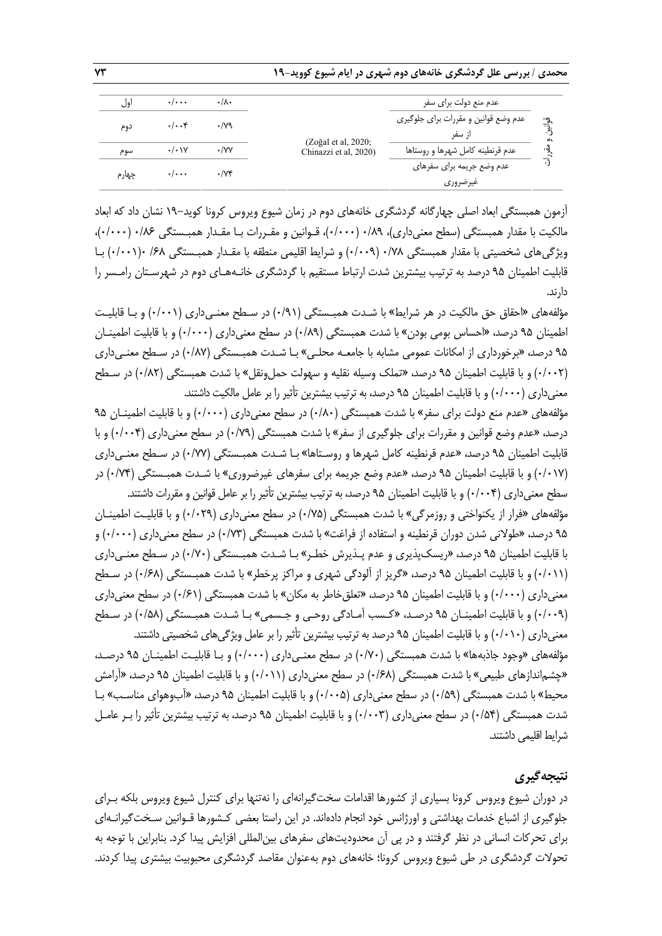| اول   | $\cdot$ / $\cdot$ $\cdot$ | $\cdot/\lambda$    |                                                   | عدم منع دول <i>ت</i> برا <i>ی</i> سفر |             |
|-------|---------------------------|--------------------|---------------------------------------------------|---------------------------------------|-------------|
|       | $\cdot/\cdot\cdot$ ۴      | $\cdot$ /79        |                                                   | عدم وضع قوانین و مقررات برای جلوگیری  | قواتيز      |
| دوم   |                           |                    |                                                   | از سفر                                | ഹ           |
| سوم   | $\cdot/\cdot \vee$        | $\cdot$ /yy        | $(Zo\gtrsim al. 2020)$ ;<br>Chinazzi et al, 2020) | عدم قرنطينه كامل شهرها و روستاها      | $\tilde{a}$ |
|       | $\cdot/\cdot\cdot\cdot$   | $\cdot$ / $\vee$ ۴ |                                                   | عدم وضع جريمه براي سفرهاي             |             |
| چهارم |                           |                    |                                                   | غيرضروري                              |             |

آزمون همبستگي ابعاد اصلي چهارگانه گردشگري خانههاي دوم در زمان شيوع ويروس كرونا كويد19- نشان داد كه ابعاد مالكيت با مقدار همبستگي (سطح معنيداري)، 0/89 (0/000)، قـوانين و مقـررات بـا مقـدار همبـستگي 0/86 (0/000)، ويژگيهاي شخصيتي با مقدار همبستگي 0/78 (0/009) و شرايط اقليمي منطقه با مقـدار همبـستگي /68 0(0/001) بـا قابليت اطمينان 95 درصد به ترتيب بيشترين شدت ارتباط مستقيم با گردشگري خانـه هـاي دوم در شهرسـتان رامـسر را دارند.

مؤلفههاي «احقاق حق مالكيت در هر شرايط» با شـدت همبـستگي (0/91) در سـطح معنـيداري (0/001) و بـا قابليـت اطمينان 95 درصد، «احساس بومي بودن» با شدت همبستگي (0/89) در سطح معنيداري (0/000) و با قابليت اطمينـان 95 درصد، «برخورداري از امكانات عمومي مشابه با جامعـه محلـي » بـا شـدت همبـستگي (0/87) در سـطح معنـيداري (٠/٠٢) و با قابليت اطمينان ٩۵ درصد، «تملك وسيله نقليه و سهولت حمل ونقل» با شدت همبستگي (٠/٨٢) در سـطح معنيداري (0/000) و با قابليت اطمينان 95 درصد، بهترتيب بيشترين تأثير را برعامل مالكيت داشتند.

مؤلفههاي «عدم منع دولت براي سفر» با شدت همبستگي (0/80) در سطح معنيداري (0/000) و با قابليت اطمينـان 95 درصد، «عدم وضع قوانين و مقررات براي جلوگيري از سفر» با شدت همبستگي (0/79) در سطح معنيداري (0/004) و با قابليت اطمينان 95 درصد، «عدم قرنطينه كامل شهرها و روسـتاها» بـا شـدت همبـستگي (0/77) در سـطح معنـيداري (0/017) و با قابليت اطمينان 95 درصد، «عدم وضع جريمه براي سفرهاي غيرضروري» با شـدت همبـستگي (0/74) در سطح معنيداري (0/004) و با قابليت اطمينان 95 درصد، بهترتيب بيشترين تأثير را برعامل قوانين و مقررات داشتند.

مؤلفههاي «فرار از يكنواختي و روزمرگي» با شدت همبستگي (0/75) در سطح معنيداري (0/029) و با قابليـت اطمينـان 95 درصد، «طولاني شدن دوران قرنطينه و استفاده از فراغت» با شدت همبستگي (0/73) در سطح معنيداري (0/000) و با قابليت اطمينان 95 درصد، «ريسكپذيري و عدم پـذيرش خطـر» بـا شـدت همبـستگي (0/70) در سـطح معنـيداري (0/011) و با قابليت اطمينان 95 درصد، «گريز از آلودگي شهري و مراكز پرخطر» با شدت همبـستگي (0/68) در سـطح معنيداري (0/000) و با قابليت اطمينان 95 درصد، «تعلقخاطر به مكان» با شدت همبستگي (0/61) در سطح معنيداري (0/009) و با قابليت اطمينـان 95 درصـد، «كـسب آمـادگي روحـي و جـسمي» بـا شـدت همبـستگي (0/58) در سـطح معنيداري (١٠/٠١٠) و با قابليت اطمينان ٩۵ درصد به ترتيب بيشترين تأثير را بر عامل ويژگيهاي شخصيتي داشتند. مؤلفههاي «وجود جاذبهها» با شدت همبستگي (0/70) در سطح معنـيداري (0/000) و بـا قابليـت اطمينـان 95 درصـد، «چشماندازهاي طبيعي» با شدت همبستگي (0/68) در سطح معنيداري (0/011) و با قابليت اطمينان 95 درصد، «آرامش محيط» با شدت همبستگي (0/59) در سطح معنيداري (0/005) و با قابليت اطمينان 95 درصد، «آبوهواي مناسـب» بـا شدت همبستگي (0/54) در سطح معنيداري (0/003) و با قابليت اطمينان 95 درصد، به ترتيب بيشترين تأثير را بـرعامـل شرايط اقليمي داشتند.

# **نتيجهگيري**

در دوران شيوع ويروس كرونا بسياري از كشورها اقدامات سختگيرانهاي را نهتنها براي كنترل شيوع ويروس بلكه بـراي جلوگيري از اشباع خدمات بهداشتي و اورژانس خود انجام دادهاند. در اين راستا بعضي كـشورها قـوانين سـخت گيرانـهاي براي تحركات انساني در نظر گرفتند و در پي آن محدوديت هاي سفرهاي بينالمللي افزايش پيدا كرد. بنابراين با توجه به تحولات گردشگري در طي شيوع ويروس كرونا؛ خانههاي دوم بهعنوان مقاصد گردشگري محبوبيت بيشتري پيدا كردند.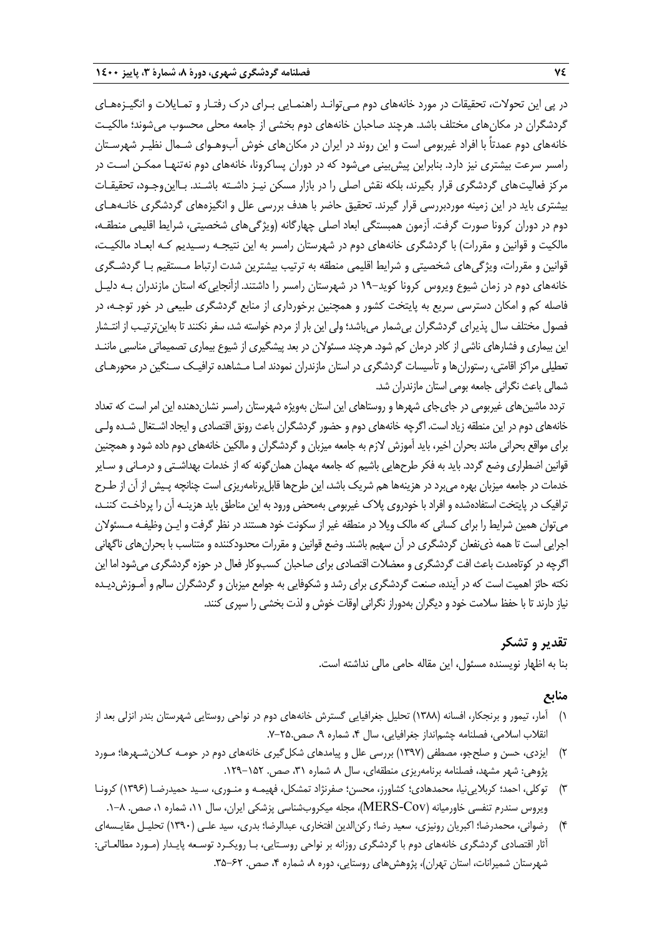در پي اين تحولات، تحقيقات در مورد خانههاي دوم مـيتوانـد راهنمـايي بـراي درك رفتـار و تمـايلات و انگيـزه هـاي گردشگران در مكانهاي مختلف باشد. هرچند صاحبان خانههاي دوم بخشي از جامعه محلي محسوب ميشوند؛ مالكيـت خانههاي دوم عمدتاً با افراد غيربومي است و اين روند در ايران در مكانهاي خوش آبوهـواي شـمال نظيـر شهرسـتان رامسر سرعت بيشتري نيز دارد. بنابراين پيشبيني ميشود كه در دوران پساكرونا، خانههاي دوم نهتنهـا ممكـن اسـت در مركز فعاليتهاي گردشگري قرار بگيرند، بلكه نقش اصلي را در بازار مسكن نيـز داشـته باشـند. بـااينوجـود، تحقيقـات بيشتري بايد در اين زمينه موردبررسي قرار گيرند. تحقيق حاضر با هدف بررسي علل و انگيزههاي گردشگري خانـههـاي دوم در دوران كرونا صورت گرفت. آزمون همبستگي ابعاد اصلي چهارگانه (ويژگيهاي شخصيتي، شرايط اقليمي منطقـه، مالكيت و قوانين و مقررات) با گردشگري خانههاي دوم در شهرستان رامسر به اين نتيجـه رسـيديم كـه ابعـاد مالكيـت، قوانين و مقررات، ويژگيهاي شخصيتي و شرايط اقليمي منطقه به ترتيب بيشترين شدت ارتباط مـستقيم بـا گردشـگري خانههاي دوم در زمان شيوع ويروس كرونا كويد19- در شهرستان رامسر را داشتند. ازآنجاييكه استان مازندران بـه دليـل فاصله كم و امكان دسترسي سريع به پايتخت كشور و همچنين برخورداري از منابع گردشگري طبيعي در خور توجـه، در فصول مختلف سال پذيراي گردشگران بيشمار ميباشد؛ ولي اين بار از مردم خواسته شد، سفر نكنندتا بهاينترتيـب از انتـشار اين بيماري و فشارهاي ناشي از كادر درمان كم شود. هرچندمسئولان در بعدپيشگيري از شيوع بيماري تصميماتي مناسبي ماننـد تعطيلي مراكز اقامتي، رستورانها و تأسيسات گردشگري در استان مازندران نمودند امـا مـشاهده ترافيـك سـنگين در محورهـاي شمالي باعث نگراني جامعه بومي استان مازندران شد.

تردد ماشينهاي غيربومي در جايجاي شهرها و روستاهاي اين استان بهويژه شهرستان رامسر نشاندهنده اين امر است كه تعداد خانههاي دوم در اين منطقه زياد است. اگرچه خانههاي دوم و حضور گردشگران باعث رونق اقتصادي و ايجاد اشـتغال شـده ولـي براي مواقع بحراني مانند بحران اخير، بايد آموزش لازم به جامعه ميزبان و گردشگران و مالكين خانههاي دوم داده شود و همچنين قوانين اضطراري وضع گردد. بايد به فكر طرحهايي باشيم كه جامعه مهمان همانگونه كه از خدمات بهداشـتي و درمـاني و سـاير خدمات در جامعه ميزبان بهره ميبرد در هزينهها هم شريک باشد، اين طرحها قابل برنامهريزي است چنانچه پـيش از آن از طـرح ترافيك در پايتخت استفادهشده و افراد با خودروي پلاك غيربومي بهمحض ورود به اين مناطق بايدهزينـه آن را پرداخـت كننـد، ميتوان همين شرايط را براي كساني كه مالك ويلا در منطقه غير از سكونت خود هستند در نظر گرفت و ايـن وظيفـه مـسئولان اجرايي است تاهمه ذينفعان گردشگري در آن سهيم باشند. وضع قوانين و مقررات محدودكننده و متناسب با بحرانهاي ناگهاني اگرچه در كوتاهمدت باعث افت گردشگري و معضلات اقتصادي براي صاحبان كسبوكار فعال در حوزه گردشگري مي شود اما اين نكته حائز اهميت است كه در آينده، صنعت گردشگري براي رشدو شكوفايي به جوامع ميزبان و گردشگران سالم و آمـوزش ديـده نياز دارندتا با حفظ سلامت خود و ديگران بهدوراز نگراني اوقات خوش و لذت بخشي را سپري كنند.

# **تقدير و تشكر**

بنا به اظهار نويسنده مسئول، اين مقاله حامي مالي نداشته است.

# **منابع**

- 1) آمار، تيمور و برنجكار، افسانه (1388) تحليل جغرافيايي گسترش خانههاي دوم در نواحي روستايي شهرستان بندر انزلي بعد از انقلاب اسلامي، فصلنامه چشمانداز جغرافيايي، سال ۴، شماره ۹، صص.٢۵-٧.
- 2) ايزدي، حسن و صلحجو، مصطفي (1397) بررسي علل و پيامدهاي شكلگيري خانههاي دوم در حومـه كـلانشـهرها؛ مـورد پژوهي: شهر مشهد، فصلنامه برنامهريزي منطقهاي، سال ٨ شماره ٣١، صص. ١٥٢-١٢٩.
- 3) توكلي، احمد؛ كربلايينيا، محمدهادي؛ كشاورز، محسن؛ صفرنژاد تمشكل، فهيمـه و منـوري، سـيد حميدرضـا (1396) كرونـا ويروس سندرم تنفسي خاورميانه (MERS-Cov)، مجله ميكروبشناسي پزشكي ايران، سال ۱۱، شماره ۱، صص. ٨−۱.
- 4) رضواني، محمدرضا؛ اكبريان رونيزي، سعيد رضا؛ ركنالدين افتخاري، عبدالرضا؛ بدري، سيد علـي (1390) تحليـل مقايـسهاي آثار اقتصادي گردشگري خانههاي دوم با گردشگري روزانه بر نواحي روسـتايي، بـا رويكـرد توسـعه پايـدار (مـورد مطالعـاتي: شهرستان شميرانات، استان تهران)، پژوهشهاي روستايي، دوره ٨، شماره ۴، صص. ۶۲-۳۵.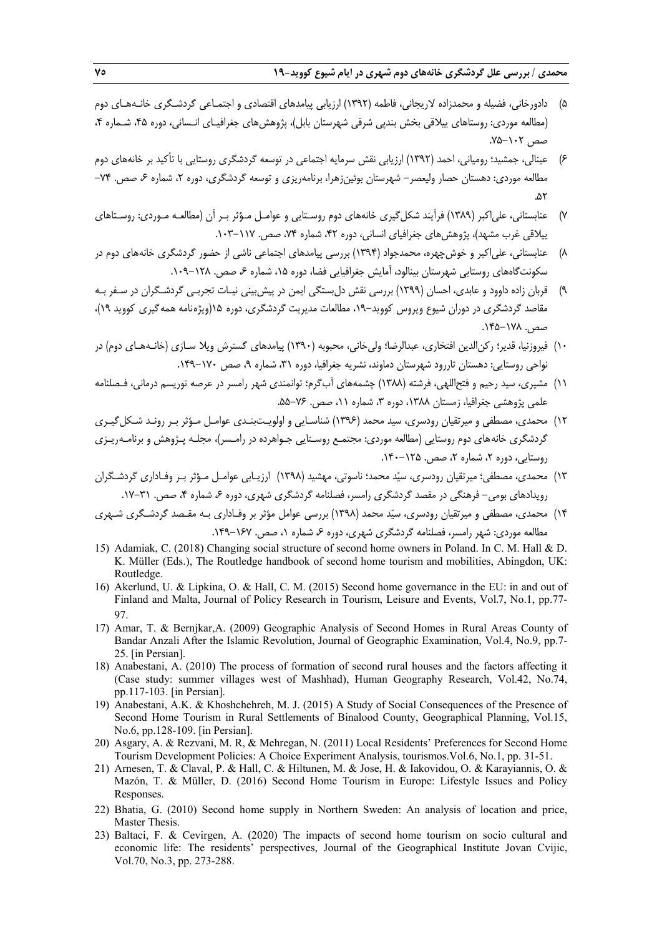- 5) دادورخاني، فضيله و محمدزاده لاريجاني، فاطمه (1392) ارزيابي پيامدهاي اقتصادي و اجتمـاعي گردشـگري خانـههـاي دوم (مطالعه موردي: روستاهاي ييلاقي بخش بندپي شرقي شهرستان بابل)، پژوهشهاي جغرافيـاي انـساني، دوره ،45 شـماره ،4 صص ١٠٢-٧۵.
- 6) عينالي، جمشيد؛ رومياني، احمد (1392) ارزيابي نقش سرمايه اجتماعي در توسعه گردشگري روستايي با تأكيد بر خانههاي دوم مطالعه موردي: دهستان حصار وليعصر- شهرستان بوئينزهرا، برنامهريزي و توسعه گردشگري، دوره ۲، شماره ۶ صص. ۷۴-.۵۲
- 7) عنابستاني، علياكبر (1389) فرآيند شكلگيري خانههاي دوم روسـتايي و عوامـل مـؤثر بـر آن (مطالعـه مـوردي: روسـتاهاي ييلاقي غرب مشهد)، پژوهشهاي جغرافياي انساني، دوره ،42 شماره ،74 صص. .103-117
- 8) عنابستاني، علياكبر و خوشچهره، محمدجواد (1394) بررسي پيامدهاي اجتماعي ناشي از حضور گردشگري خانههاي دوم در سكونت گاههاي روستايي شهرستان بينالود، آمايش جغرافيايي فضا، دوره ۱۵، شماره ۶ صص. ۱۲۸–۱۰۹.
- 9) قربان زاده داوود و عابدي، احسان (1399) بررسي نقش دلبستگي ايمن در پيشبيني نيـات تجربـي گردشـگران در سـفر بـه مقاصد گردشگري در دوران شيوع ويروس كوويد،19- مطالعات مديريت گردشگري، دوره 15(ويژهنامه همهگيري كوويد 19)، صص. .145-178
- 10) فيروزنيا، قدير؛ ركنالدين افتخاري، عبدالرضا؛ وليخاني، محبوبه (1390) پيامدهاي گسترش ويلا سـازي (خانـههـاي دوم) در نواحي روستايي: دهستان تاررود شهرستان دماوند، نشريه جغرافيا، دوره ،31 شماره ،9 صص .149-170
- 11) مشيري، سيد رحيم و فتحاللهي، فرشته (1388) چشمههاي آبگرم؛ توانمندي شهر رامسر در عرصه توريسم درماني، فـصلنامه علمي پژوهشي جغرافيا، زمستان ۱۳۸۸، دوره ۳، شماره ۱۱، صص. ۷۶-۵۵.
- ١٢) محمدي، مصطفى و ميرتقيان رودسري، سيد محمد (١٣٩۶) شناسـايي و اولويـتبنـدي عوامـل مـؤثر بـر رونـد شـكل گيـري گردشگري خانههاي دوم روستايي (مطالعه موردي: مجتمـع روسـتايي جـواهرده در رامـسر)، مجلـه پـژوهش و برنامـهريـزي روستايي، دوره ،2 شماره ،2 صص. .140-125
- 13) محمدي، مصطفي؛ ميرتقيان رودسري، سيد محمد؛ ناسوتي، مهشيد (1398) ارزيـابي عوامـل مـؤثر بـر وفـاداري گردشـگران رويدادهاي بومي- فرهنگي در مقصد گردشگري رامسر، فصلنامه گردشگري شهري، دوره ۶ شماره ۴، صص. ۳۱-۱۷.
- 14) محمدي، مصطفي و ميرتقيان رودسري، سيد محمد (1398) بررسي عوامل مؤثر بر وفـاداري بـه مقـصد گردشـگري شـهري مطالعه موردي: شهر رامسر، فصلنامه گردشگري شهري، دوره ۶، شماره ۰، صص. ۱۶۷–۱۴۹.
- 15) Adamiak, C. (2018) Changing social structure of second home owners in Poland. In C. M. Hall & D. K. Müller (Eds.), The Routledge handbook of second home tourism and mobilities, Abingdon, UK: Routledge.
- 16) Akerlund, U. & Lipkina, O. & Hall, C. M. (2015) Second home governance in the EU: in and out of Finland and Malta, Journal of Policy Research in Tourism, Leisure and Events, Vol.7, No.1, pp.77- 97.
- 17) Amar, T. & Bernjkar,A. (2009) Geographic Analysis of Second Homes in Rural Areas County of Bandar Anzali After the Islamic Revolution, Journal of Geographic Examination, Vol.4, No.9, pp.7- 25. [in Persian].
- 18) Anabestani, A. (2010) The process of formation of second rural houses and the factors affecting it (Case study: summer villages west of Mashhad), Human Geography Research, Vol.42, No.74, pp.117-103. [in Persian].
- 19) Anabestani, A.K. & Khoshchehreh, M. J. (2015) A Study of Social Consequences of the Presence of Second Home Tourism in Rural Settlements of Binalood County, Geographical Planning, Vol.15, No.6, pp.128-109. [in Persian].
- 20) Asgary, A. & Rezvani, M. R, & Mehregan, N. (2011) Local Residents' Preferences for Second Home Tourism Development Policies: A Choice Experiment Analysis, tourismos.Vol.6, No.1, pp. 31-51.
- 21) Arnesen, T. & Claval, P. & Hall, C. & Hiltunen, M. & Jose, H. & Iakovidou, O. & Karayiannis, O. & Mazón, T. & Müller, D. (2016) Second Home Tourism in Europe: Lifestyle Issues and Policy Responses.
- 22) Bhatia, G. (2010) Second home supply in Northern Sweden: An analysis of location and price, Master Thesis.
- 23) Baltaci, F. & Cevirgen, A. (2020) The impacts of second home tourism on socio cultural and economic life: The residents' perspectives, Journal of the Geographical Institute Jovan Cvijic, Vol.70, No.3, pp. 273-288.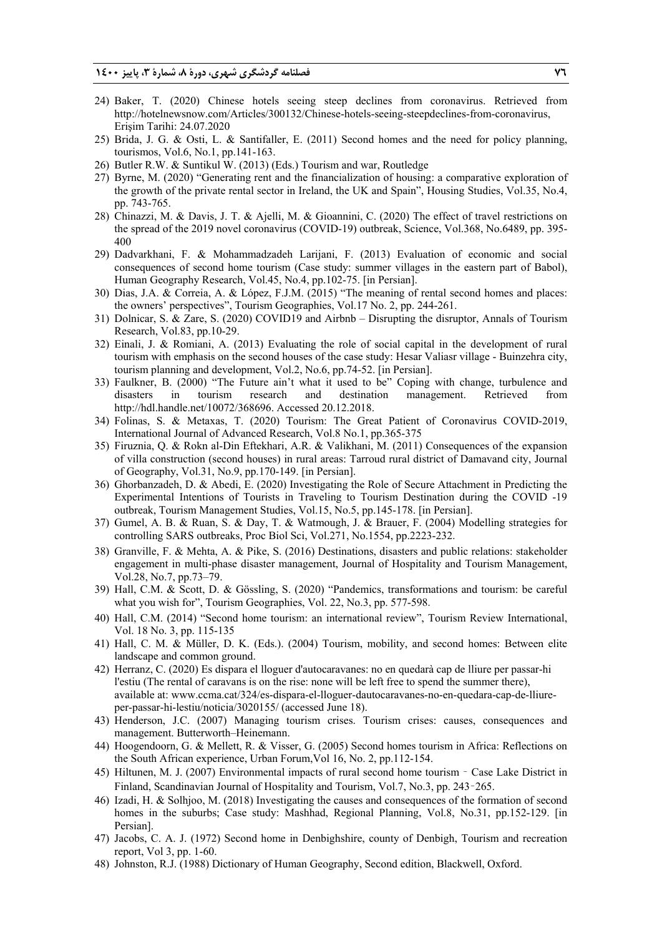- 24) Baker, T. (2020) Chinese hotels seeing steep declines from coronavirus. Retrieved from http://hotelnewsnow.com/Articles/300132/Chinese-hotels-seeing-steepdeclines-from-coronavirus, Erişim Tarihi: 24.07.2020
- 25) Brida, J. G. & Osti, L. & Santifaller, E. (2011) Second homes and the need for policy planning, tourismos, Vol.6, No.1, pp.141-163.
- 26) Butler R.W. & Suntikul W. (2013) (Eds.) Tourism and war, Routledge
- 27) Byrne, M. (2020) "Generating rent and the financialization of housing: a comparative exploration of the growth of the private rental sector in Ireland, the UK and Spain", Housing Studies, Vol.35, No.4, pp. 743-765.
- 28) Chinazzi, M. & Davis, J. T. & Ajelli, M. & Gioannini, C. (2020) The effect of travel restrictions on the spread of the 2019 novel coronavirus (COVID-19) outbreak, Science, Vol.368, No.6489, pp. 395- 400
- 29) Dadvarkhani, F. & Mohammadzadeh Larijani, F. (2013) Evaluation of economic and social consequences of second home tourism (Case study: summer villages in the eastern part of Babol), Human Geography Research, Vol.45, No.4, pp.102-75. [in Persian].
- 30) Dias, J.A. & Correia, A. & López, F.J.M. (2015) "The meaning of rental second homes and places: the owners' perspectives", Tourism Geographies, Vol.17 No. 2, pp. 244-261.
- 31) Dolnicar, S. & Zare, S. (2020) COVID19 and Airbnb Disrupting the disruptor, Annals of Tourism Research, Vol.83, pp.10-29.
- 32) Einali, J. & Romiani, A. (2013) Evaluating the role of social capital in the development of rural tourism with emphasis on the second houses of the case study: Hesar Valiasr village - Buinzehra city, tourism planning and development, Vol.2, No.6, pp.74-52. [in Persian].
- 33) Faulkner, B. (2000) "The Future ain't what it used to be" Coping with change, turbulence and disasters in tourism research and destination management. Retrieved from http://hdl.handle.net/10072/368696. Accessed 20.12.2018.
- 34) Folinas, S. & Metaxas, T. (2020) Tourism: The Great Patient of Coronavirus COVID-2019, International Journal of Advanced Research, Vol.8 No.1, pp.365-375
- 35) Firuznia, Q. & Rokn al-Din Eftekhari, A.R. & Valikhani, M. (2011) Consequences of the expansion of villa construction (second houses) in rural areas: Tarroud rural district of Damavand city, Journal of Geography, Vol.31, No.9, pp.170-149. [in Persian].
- 36) Ghorbanzadeh, D. & Abedi, E. (2020) Investigating the Role of Secure Attachment in Predicting the Experimental Intentions of Tourists in Traveling to Tourism Destination during the COVID -19 outbreak, Tourism Management Studies, Vol.15, No.5, pp.145-178. [in Persian].
- 37) Gumel, A. B. & Ruan, S. & Day, T. & Watmough, J. & Brauer, F. (2004) Modelling strategies for controlling SARS outbreaks, Proc Biol Sci, Vol.271, No.1554, pp.2223-232.
- 38) Granville, F. & Mehta, A. & Pike, S. (2016) Destinations, disasters and public relations: stakeholder engagement in multi-phase disaster management, Journal of Hospitality and Tourism Management, Vol.28, No.7, pp.73–79.
- 39) Hall, C.M. & Scott, D. & Gössling, S. (2020) "Pandemics, transformations and tourism: be careful what you wish for", Tourism Geographies, Vol. 22, No.3, pp. 577-598.
- 40) Hall, C.M. (2014) "Second home tourism: an international review", Tourism Review International, Vol. 18 No. 3, pp. 115-135
- 41) Hall, C. M. & Müller, D. K. (Eds.). (2004) Tourism, mobility, and second homes: Between elite landscape and common ground.
- 42) Herranz, C. (2020) Es dispara el lloguer d'autocaravanes: no en quedarà cap de lliure per passar-hi l'estiu (The rental of caravans is on the rise: none will be left free to spend the summer there), available at: www.ccma.cat/324/es-dispara-el-lloguer-dautocaravanes-no-en-quedara-cap-de-lliureper-passar-hi-lestiu/noticia/3020155/ (accessed June 18).
- 43) Henderson, J.C. (2007) Managing tourism crises. Tourism crises: causes, consequences and management. Butterworth–Heinemann.
- 44) Hoogendoorn, G. & Mellett, R. & Visser, G. (2005) Second homes tourism in Africa: Reflections on the South African experience, Urban Forum,Vol 16, No. 2, pp.112-154.
- 45) Hiltunen, M. J. (2007) Environmental impacts of rural second home tourism Case Lake District in Finland, Scandinavian Journal of Hospitality and Tourism, Vol.7, No.3, pp. 243–265.
- 46) Izadi, H. & Solhjoo, M. (2018) Investigating the causes and consequences of the formation of second homes in the suburbs; Case study: Mashhad, Regional Planning, Vol.8, No.31, pp.152-129. [in] Persian].
- 47) Jacobs, C. A. J. (1972) Second home in Denbighshire, county of Denbigh, Tourism and recreation report, Vol 3, pp. 1-60.
- 48) Johnston, R.J. (1988) Dictionary of Human Geography, Second edition, Blackwell, Oxford.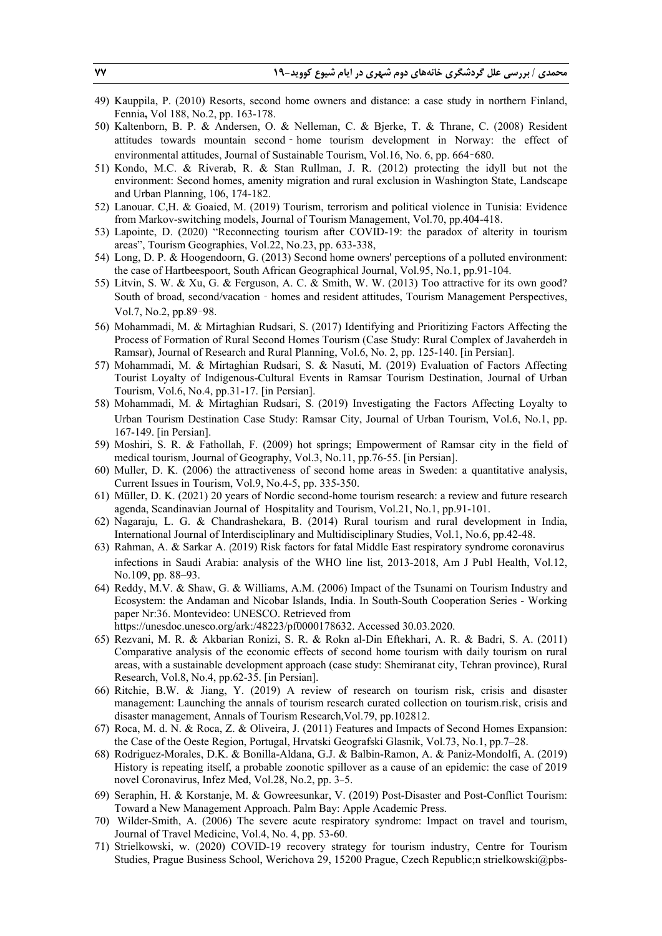- 49) Kauppila, P. (2010) Resorts, second home owners and distance: a case study in northern Finland, Fennia**,** Vol 188, No.2, pp. 163-178.
- 50) Kaltenborn, B. P. & Andersen, O. & Nelleman, C. & Bjerke, T. & Thrane, C. (2008) Resident attitudes towards mountain second‐home tourism development in Norway: the effect of environmental attitudes, Journal of Sustainable Tourism, Vol.16, No. 6, pp. 664–680.
- 51) Kondo, M.C. & Riverab, R. & Stan Rullman, J. R. (2012) protecting the idyll but not the environment: Second homes, amenity migration and rural exclusion in Washington State, Landscape and Urban Planning, 106, 174-182.
- 52) Lanouar. C,H. & Goaied, M. (2019) Tourism, terrorism and political violence in Tunisia: Evidence from Markov-switching models, Journal of Tourism Management, Vol.70, pp.404-418.
- 53) Lapointe, D. (2020) "Reconnecting tourism after COVID-19: the paradox of alterity in tourism areas", Tourism Geographies, Vol.22, No.23, pp. 633-338,
- 54) Long, D. P. & Hoogendoorn, G. (2013) Second home owners' perceptions of a polluted environment: the case of Hartbeespoort, South African Geographical Journal, Vol.95, No.1, pp.91-104.
- 55) Litvin, S. W. & Xu, G. & Ferguson, A. C. & Smith, W. W. (2013) Too attractive for its own good? South of broad, second/vacation - homes and resident attitudes, Tourism Management Perspectives, Vol.7, No.2, pp.89–98.
- 56) Mohammadi, M. & Mirtaghian Rudsari, S. (2017) Identifying and Prioritizing Factors Affecting the Process of Formation of Rural Second Homes Tourism (Case Study: Rural Complex of Javaherdeh in Ramsar), Journal of Research and Rural Planning, Vol.6, No. 2, pp. 125-140. [in Persian].
- 57) Mohammadi, M. & Mirtaghian Rudsari, S. & Nasuti, M. (2019) Evaluation of Factors Affecting Tourist Loyalty of Indigenous-Cultural Events in Ramsar Tourism Destination, Journal of Urban Tourism, Vol.6, No.4, pp.31-17. [in Persian].
- 58) Mohammadi, M. & Mirtaghian Rudsari, S. (2019) Investigating the Factors Affecting Loyalty to Urban Tourism Destination Case Study: Ramsar City, Journal of Urban Tourism, Vol.6, No.1, pp. 167-149. [in Persian].
- 59) Moshiri, S. R. & Fathollah, F. (2009) hot springs; Empowerment of Ramsar city in the field of medical tourism, Journal of Geography, Vol.3, No.11, pp.76-55. [in Persian].
- 60) Muller, D. K. (2006) the attractiveness of second home areas in Sweden: a quantitative analysis, Current Issues in Tourism, Vol.9, No.4-5, pp. 335-350.
- 61) Müller, D. K. (2021) 20 years of Nordic second-home tourism research: a review and future research agenda, Scandinavian Journal of Hospitality and Tourism, Vol.21, No.1, pp.91-101.
- 62) Nagaraju, L. G. & Chandrashekara, B. (2014) Rural tourism and rural development in India, International Journal of Interdisciplinary and Multidisciplinary Studies, Vol.1, No.6, pp.42-48.
- 63) Rahman, A. & Sarkar A. (2019) Risk factors for fatal Middle East respiratory syndrome coronavirus infections in Saudi Arabia: analysis of the WHO line list, 2013-2018, Am J Publ Health, Vol.12, No.109, pp. 88–93.
- 64) Reddy, M.V. & Shaw, G. & Williams, A.M. (2006) Impact of the Tsunami on Tourism Industry and Ecosystem: the Andaman and Nicobar Islands, India. In South-South Cooperation Series - Working paper Nr:36. Montevideo: UNESCO. Retrieved from

https://unesdoc.unesco.org/ark:/48223/pf0000178632. Accessed 30.03.2020.

- 65) Rezvani, M. R. & Akbarian Ronizi, S. R. & Rokn al-Din Eftekhari, A. R. & Badri, S. A. (2011) Comparative analysis of the economic effects of second home tourism with daily tourism on rural areas, with a sustainable development approach (case study: Shemiranat city, Tehran province), Rural Research, Vol.8, No.4, pp.62-35. [in Persian].
- 66) Ritchie, B.W. & Jiang, Y. (2019) A review of research on tourism risk, crisis and disaster management: Launching the annals of tourism research curated collection on tourism.risk, crisis and disaster management, Annals of Tourism Research,Vol.79, pp.102812.
- 67) Roca, M. d. N. & Roca, Z. & Oliveira, J. (2011) Features and Impacts of Second Homes Expansion: the Case of the Oeste Region, Portugal, Hrvatski Geografski Glasnik, Vol.73, No.1, pp.7–28.
- 68) Rodriguez-Morales, D.K. & Bonilla-Aldana, G.J. & Balbin-Ramon, A. & Paniz-Mondolfi, A. (2019) History is repeating itself, a probable zoonotic spillover as a cause of an epidemic: the case of 2019 novel Coronavirus, Infez Med, Vol.28, No.2, pp. 3-5.
- 69) Seraphin, H. & Korstanje, M. & Gowreesunkar, V. (2019) Post-Disaster and Post-Conflict Tourism: Toward a New Management Approach. Palm Bay: Apple Academic Press.
- 70) Wilder-Smith, A. (2006) The severe acute respiratory syndrome: Impact on travel and tourism, Journal of Travel Medicine, Vol.4, No. 4, pp. 53-60.
- 71) Strielkowski, w. (2020) COVID-19 recovery strategy for tourism industry, Centre for Tourism Studies, Prague Business School, Werichova 29, 15200 Prague, Czech Republic;n strielkowski@pbs-